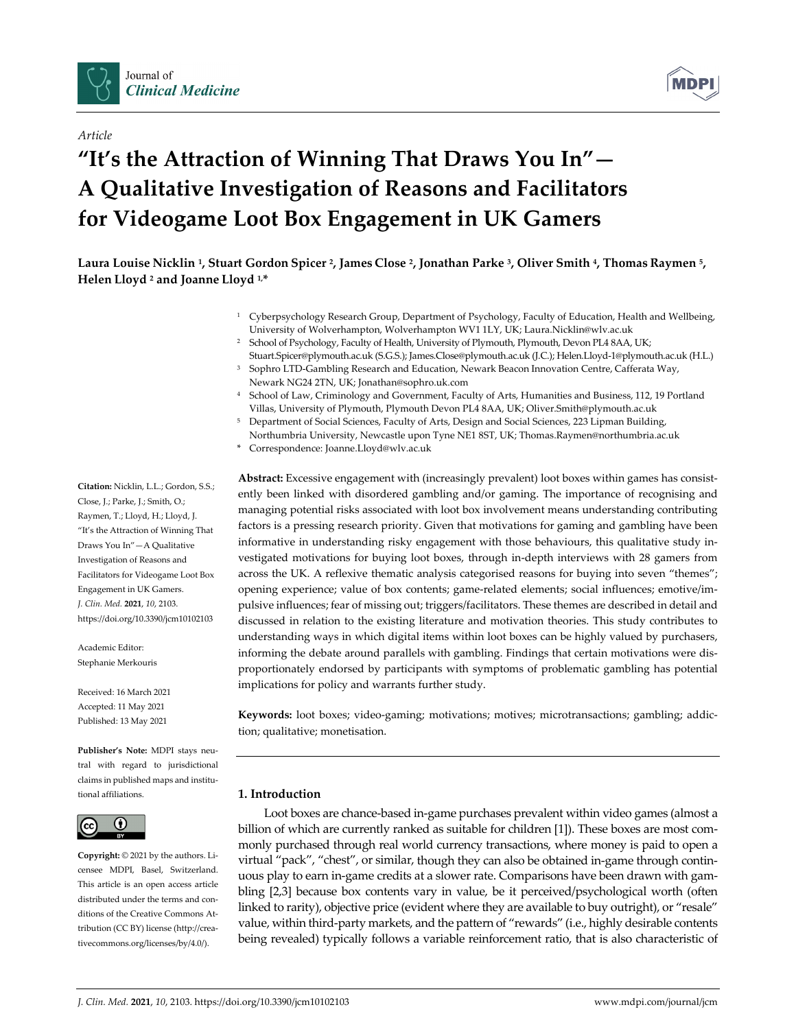

*Article*



# **"It's the Attraction of Winning That Draws You In"— A Qualitative Investigation of Reasons and Facilitators for Videogame Loot Box Engagement in UK Gamers**

Laura Louise Nicklin<sup>1</sup>, Stuart Gordon Spicer<sup>2</sup>, James Close<sup>2</sup>, Jonathan Parke<sup>3</sup>, Oliver Smith<sup>4</sup>, Thomas Raymen<sup>5</sup>, **Helen Lloyd <sup>2</sup> and Joanne Lloyd 1,\***

- <sup>1</sup> Cyberpsychology Research Group, Department of Psychology, Faculty of Education, Health and Wellbeing, University of Wolverhampton, Wolverhampton WV1 1LY, UK; Laura.Nicklin@wlv.ac.uk
- <sup>2</sup> School of Psychology, Faculty of Health, University of Plymouth, Plymouth, Devon PL4 8AA, UK; Stuart.Spicer@plymouth.ac.uk (S.G.S.); James.Close@plymouth.ac.uk (J.C.); Helen.Lloyd‐1@plymouth.ac.uk (H.L.)
- <sup>3</sup> Sophro LTD-Gambling Research and Education, Newark Beacon Innovation Centre, Cafferata Way, Newark NG24 2TN, UK; Jonathan@sophro.uk.com
- <sup>4</sup> School of Law, Criminology and Government, Faculty of Arts, Humanities and Business, 112, 19 Portland Villas, University of Plymouth, Plymouth Devon PL4 8AA, UK; Oliver.Smith@plymouth.ac.uk
- <sup>5</sup> Department of Social Sciences, Faculty of Arts, Design and Social Sciences, 223 Lipman Building, Northumbria University, Newcastle upon Tyne NE1 8ST, UK; Thomas.Raymen@northumbria.ac.uk
- \* Correspondence: Joanne.Lloyd@wlv.ac.uk

**Abstract:** Excessive engagement with (increasingly prevalent) loot boxes within games has consist‐ ently been linked with disordered gambling and/or gaming. The importance of recognising and managing potential risks associated with loot box involvement means understanding contributing factors is a pressing research priority. Given that motivations for gaming and gambling have been informative in understanding risky engagement with those behaviours, this qualitative study in‐ vestigated motivations for buying loot boxes, through in‐depth interviews with 28 gamers from across the UK. A reflexive thematic analysis categorised reasons for buying into seven "themes"; opening experience; value of box contents; game-related elements; social influences; emotive/impulsive influences; fear of missing out; triggers/facilitators. These themes are described in detail and discussed in relation to the existing literature and motivation theories. This study contributes to understanding ways in which digital items within loot boxes can be highly valued by purchasers, informing the debate around parallels with gambling. Findings that certain motivations were dis‐ proportionately endorsed by participants with symptoms of problematic gambling has potential implications for policy and warrants further study.

Keywords: loot boxes; video-gaming; motivations; motives; microtransactions; gambling; addiction; qualitative; monetisation.

### **1. Introduction**

Loot boxes are chance-based in-game purchases prevalent within video games (almost a billion of which are currently ranked as suitable for children [1]). These boxes are most commonly purchased through real world currency transactions, where money is paid to open a virtual "pack", "chest", or similar, though they can also be obtained in‐game through contin‐ uous play to earn in‐game credits at a slower rate. Comparisons have been drawn with gam‐ bling [2,3] because box contents vary in value, be it perceived/psychological worth (often linked to rarity), objective price (evident where they are available to buy outright), or "resale" value, within third‐party markets, and the pattern of "rewards" (i.e., highly desirable contents being revealed) typically follows a variable reinforcement ratio, that is also characteristic of

**Citation:** Nicklin, L.L.; Gordon, S.S.; Close, J.; Parke, J.; Smith, O.; Raymen, T.; Lloyd, H.; Lloyd, J. "It's the Attraction of Winning That Draws You In"—A Qualitative Investigation of Reasons and Facilitators for Videogame Loot Box Engagement in UK Gamers. *J. Clin. Med.* **2021**, *10*, 2103. https://doi.org/10.3390/jcm10102103

Academic Editor: Stephanie Merkouris

Received: 16 March 2021 Accepted: 11 May 2021 Published: 13 May 2021

**Publisher's Note:** MDPI stays neu‐ tral with regard to jurisdictional claims in published maps and institu‐ tional affiliations.



**Copyright:** © 2021 by the authors. Li‐ censee MDPI, Basel, Switzerland. This article is an open access article distributed under the terms and con‐ ditions of the Creative Commons At‐ tribution (CC BY) license (http://crea‐ tivecommons.org/licenses/by/4.0/).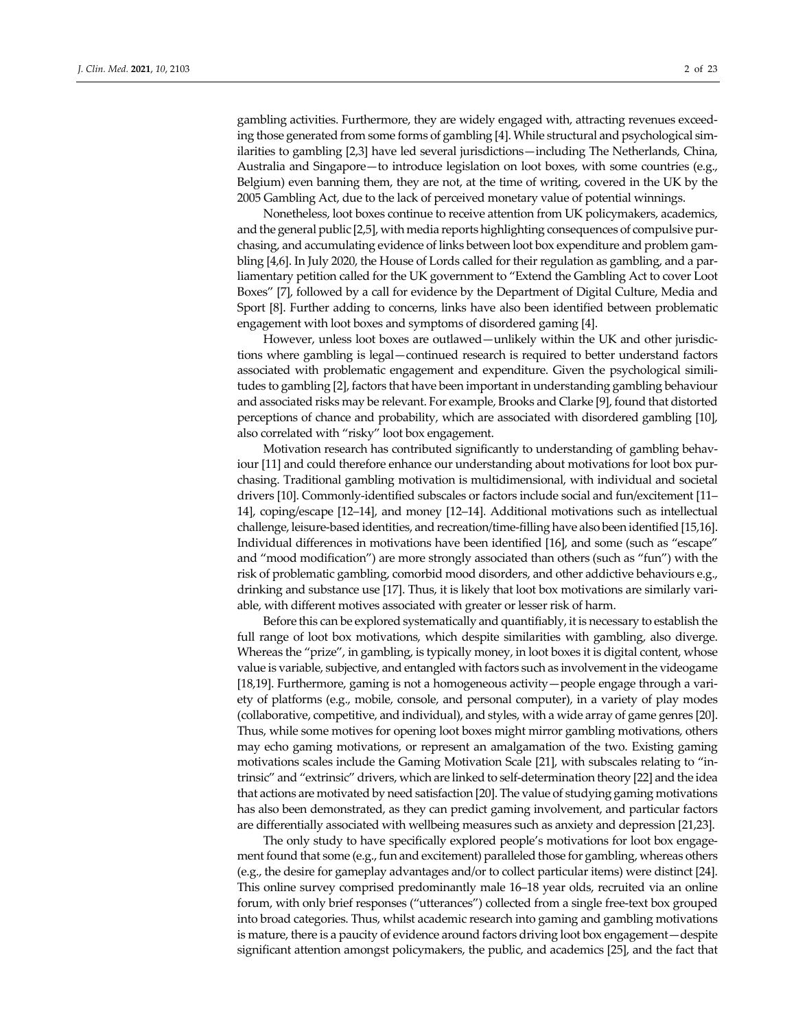gambling activities. Furthermore, they are widely engaged with, attracting revenues exceed‐ ing those generated from some forms of gambling [4]. While structural and psychological sim‐ ilarities to gambling [2,3] have led several jurisdictions—including The Netherlands, China, Australia and Singapore—to introduce legislation on loot boxes, with some countries (e.g., Belgium) even banning them, they are not, at the time of writing, covered in the UK by the 2005 Gambling Act, due to the lack of perceived monetary value of potential winnings.

Nonetheless, loot boxes continue to receive attention from UK policymakers, academics, and the general public [2,5], with media reports highlighting consequences of compulsive pur‐ chasing, and accumulating evidence of links between loot box expenditure and problem gam‐ bling [4,6]. In July 2020, the House of Lords called for their regulation as gambling, and a parliamentary petition called for the UK government to "Extend the Gambling Act to cover Loot Boxes" [7], followed by a call for evidence by the Department of Digital Culture, Media and Sport [8]. Further adding to concerns, links have also been identified between problematic engagement with loot boxes and symptoms of disordered gaming [4].

However, unless loot boxes are outlawed—unlikely within the UK and other jurisdictions where gambling is legal—continued research is required to better understand factors associated with problematic engagement and expenditure. Given the psychological similitudes to gambling [2], factors that have been important in understanding gambling behaviour and associated risks may be relevant. For example, Brooks and Clarke [9], found that distorted perceptions of chance and probability, which are associated with disordered gambling [10], also correlated with "risky" loot box engagement.

Motivation research has contributed significantly to understanding of gambling behav‐ iour [11] and could therefore enhance our understanding about motivations for loot box purchasing. Traditional gambling motivation is multidimensional, with individual and societal drivers [10]. Commonly‐identified subscales or factors include social and fun/excitement [11– 14], coping/escape [12–14], and money [12–14]. Additional motivations such as intellectual challenge, leisure‐based identities, and recreation/time‐filling have also been identified[15,16]. Individual differences in motivations have been identified [16], and some (such as "escape" and "mood modification") are more strongly associated than others (such as "fun") with the risk of problematic gambling, comorbid mood disorders, and other addictive behaviours e.g., drinking and substance use [17]. Thus, it is likely that loot box motivations are similarly vari‐ able, with different motives associated with greater or lesser risk of harm.

Before this can be explored systematically and quantifiably, it is necessary to establish the full range of loot box motivations, which despite similarities with gambling, also diverge. Whereas the "prize", in gambling, is typically money, in loot boxes it is digital content, whose value is variable, subjective, and entangled with factors such as involvement in the videogame [18,19]. Furthermore, gaming is not a homogeneous activity—people engage through a vari‐ ety of platforms (e.g., mobile, console, and personal computer), in a variety of play modes (collaborative, competitive, and individual), and styles, with a wide array of game genres [20]. Thus, while some motives for opening loot boxes might mirror gambling motivations, others may echo gaming motivations, or represent an amalgamation of the two. Existing gaming motivations scales include the Gaming Motivation Scale [21], with subscales relating to "intrinsic" and "extrinsic" drivers, which are linked to self‐determination theory [22] and the idea that actions are motivated by need satisfaction [20]. The value of studying gaming motivations has also been demonstrated, as they can predict gaming involvement, and particular factors are differentially associated with wellbeing measures such as anxiety and depression [21,23].

The only study to have specifically explored people's motivations for loot box engage‐ ment found that some (e.g., fun and excitement) paralleled those for gambling, whereas others (e.g., the desire for gameplay advantages and/or to collect particular items) were distinct [24]. This online survey comprised predominantly male 16–18 year olds, recruited via an online forum, with only brief responses ("utterances") collected from a single free-text box grouped into broad categories. Thus, whilst academic research into gaming and gambling motivations is mature, there is a paucity of evidence around factors driving loot box engagement—despite significant attention amongst policymakers, the public, and academics [25], and the fact that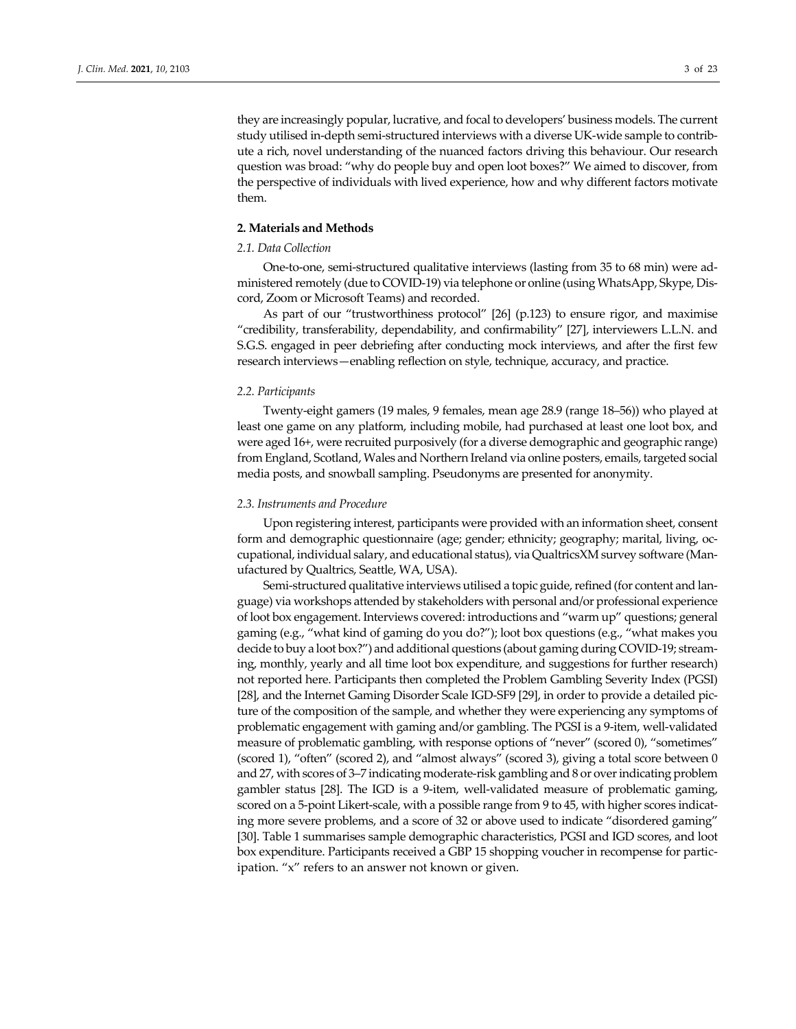they are increasingly popular, lucrative, and focal to developers' business models. The current study utilised in‐depth semi‐structured interviews with a diverse UK‐wide sample to contrib‐ ute a rich, novel understanding of the nuanced factors driving this behaviour. Our research question was broad: "why do people buy and open loot boxes?" We aimed to discover, from the perspective of individuals with lived experience, how and why different factors motivate them.

#### **2. Materials and Methods**

#### *2.1. Data Collection*

One-to-one, semi-structured qualitative interviews (lasting from 35 to 68 min) were administered remotely (due to COVID‐19) via telephone or online (usingWhatsApp, Skype, Dis‐ cord, Zoom or Microsoft Teams) and recorded.

As part of our "trustworthiness protocol" [26] (p.123) to ensure rigor, and maximise "credibility, transferability, dependability, and confirmability" [27], interviewers L.L.N. and S.G.S. engaged in peer debriefing after conducting mock interviews, and after the first few research interviews—enabling reflection on style, technique, accuracy, and practice.

#### *2.2. Participants*

Twenty‐eight gamers (19 males, 9 females, mean age 28.9 (range 18–56)) who played at least one game on any platform, including mobile, had purchased at least one loot box, and were aged 16+, were recruited purposively (for a diverse demographic and geographic range) from England, Scotland, Wales and Northern Ireland via online posters, emails, targeted social media posts, and snowball sampling. Pseudonyms are presented for anonymity.

#### *2.3. Instruments and Procedure*

Upon registering interest, participants were provided with an information sheet, consent form and demographic questionnaire (age; gender; ethnicity; geography; marital, living, oc‐ cupational, individual salary, and educational status), via QualtricsXM survey software (Man‐ ufactured by Qualtrics, Seattle, WA, USA).

Semi-structured qualitative interviews utilised a topic guide, refined (for content and language) via workshops attended by stakeholders with personal and/or professional experience of loot box engagement. Interviews covered: introductions and "warm up" questions; general gaming (e.g., "what kind of gaming do you do?"); loot box questions (e.g., "what makes you decide to buy a loot box?") and additional questions (about gaming during COVID‐19; stream‐ ing, monthly, yearly and all time loot box expenditure, and suggestions for further research) not reported here. Participants then completed the Problem Gambling Severity Index (PGSI) [28], and the Internet Gaming Disorder Scale IGD-SF9 [29], in order to provide a detailed picture of the composition of the sample, and whether they were experiencing any symptoms of problematic engagement with gaming and/or gambling. The PGSI is a 9‐item, well‐validated measure of problematic gambling, with response options of "never" (scored 0), "sometimes" (scored 1), "often" (scored 2), and "almost always" (scored 3), giving a total score between 0 and 27, with scores of 3–7 indicating moderate‐risk gambling and 8 or overindicating problem gambler status [28]. The IGD is a 9‐item, well‐validated measure of problematic gaming, scored on a 5-point Likert-scale, with a possible range from 9 to 45, with higher scores indicating more severe problems, and a score of 32 or above used to indicate "disordered gaming" [30]. Table 1 summarises sample demographic characteristics, PGSI and IGD scores, and loot box expenditure. Participants received a GBP 15 shopping voucher in recompense for partic‐ ipation. "x" refers to an answer not known or given.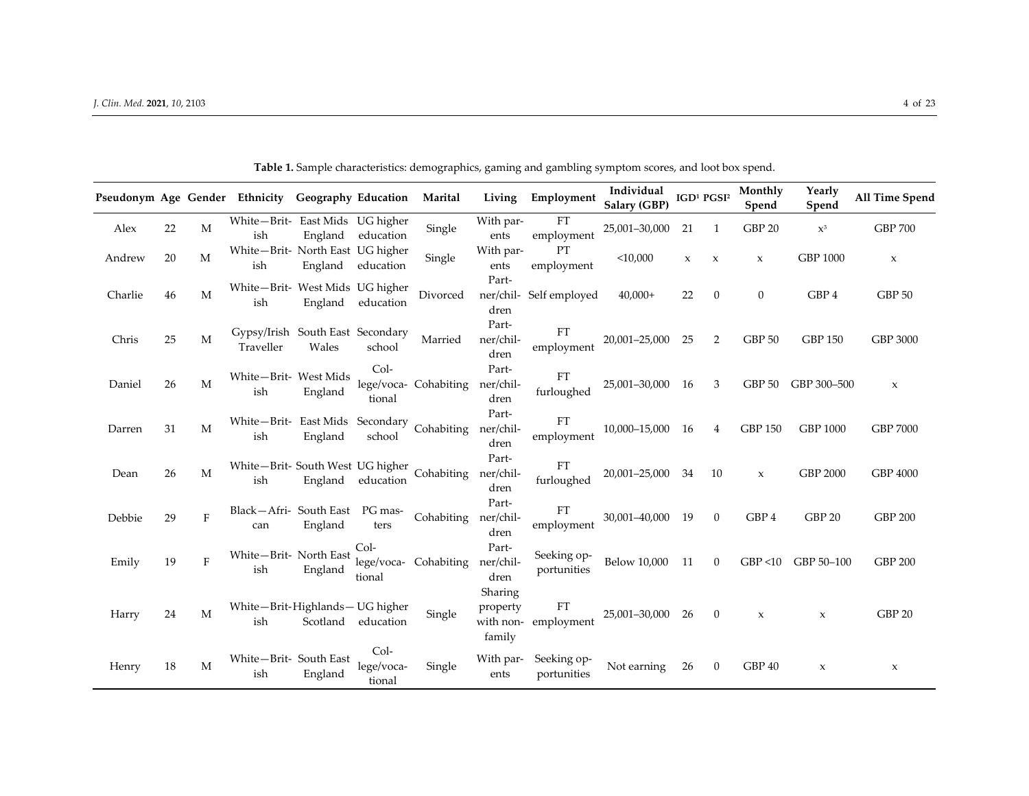|         |    |             | Pseudonym Age Gender Ethnicity Geography Education |         |                              | Marital               | Living                                     | Employment                 | Individual<br>Salary (GBP) |             | IGD <sup>1</sup> PGSI <sup>2</sup> | Monthly<br>Spend    | Yearly<br>Spend     | All Time Spend    |
|---------|----|-------------|----------------------------------------------------|---------|------------------------------|-----------------------|--------------------------------------------|----------------------------|----------------------------|-------------|------------------------------------|---------------------|---------------------|-------------------|
| Alex    | 22 | M           | White-Brit- East Mids UG higher<br>ish             | England | education                    | Single                | With par-<br>ents                          | ${\rm FT}$<br>employment   | 25,001-30,000              | 21          | 1                                  | <b>GBP 20</b>       | $\mathbf{X}^3$      | <b>GBP 700</b>    |
| Andrew  | 20 | M           | White-Brit- North East UG higher<br>ish            | England | education                    | Single                | With par-<br>ents                          | <b>PT</b><br>employment    | $<$ 10,000                 | $\mathbf x$ | $\boldsymbol{\chi}$                | $\mathbf x$         | <b>GBP 1000</b>     | $\mathbf x$       |
| Charlie | 46 | M           | White-Brit- West Mids UG higher<br>ish             | England | education                    | Divorced              | Part-<br>ner/chil-<br>dren                 | Self employed              | $40,000+$                  | 22          | $\mathbf{0}$                       | $\boldsymbol{0}$    | GBP 4               | GBP <sub>50</sub> |
| Chris   | 25 | M           | Gypsy/Irish South East Secondary<br>Traveller      | Wales   | school                       | Married               | Part-<br>ner/chil-<br>dren                 | FT<br>employment           | 20,001-25,000              | 25          | 2                                  | GBP 50              | <b>GBP 150</b>      | <b>GBP 3000</b>   |
| Daniel  | 26 | M           | White-Brit- West Mids<br>ish                       | England | $Col-$<br>tional             | lege/voca- Cohabiting | Part-<br>ner/chil-<br>dren                 | FT<br>furloughed           | 25,001-30,000 16           |             | 3                                  | GBP 50              | GBP 300-500         | $\mathbf x$       |
| Darren  | 31 | $\mathbf M$ | White-Brit- East Mids Secondary Cohabiting<br>ish  | England | school                       |                       | Part-<br>ner/chil-<br>dren                 | FT<br>employment           | 10,000-15,000 16           |             | $\overline{4}$                     | <b>GBP 150</b>      | <b>GBP 1000</b>     | <b>GBP 7000</b>   |
| Dean    | 26 | M           | White-Brit-South West UG higher Cohabiting<br>ish  | England | education                    |                       | Part-<br>ner/chil-<br>dren                 | FT<br>furloughed           | 20,001-25,000 34           |             | 10                                 | $\mathbf x$         | <b>GBP 2000</b>     | GBP 4000          |
| Debbie  | 29 | F           | Black-Afri-South East PG mas-<br>can               | England | ters                         | Cohabiting            | Part-<br>ner/chil-<br>dren                 | FT<br>employment           | 30,001-40,000 19           |             | $\theta$                           | GBP 4               | GBP <sub>20</sub>   | <b>GBP 200</b>    |
| Emily   | 19 | $\rm F$     | White-Brit- North East<br>ish                      | England | Col-<br>lege/voca-<br>tional | Cohabiting            | Part-<br>ner/chil-<br>dren                 | Seeking op-<br>portunities | Below 10,000               | 11          | $\mathbf{0}$                       | GBP < 10            | GBP 50-100          | <b>GBP 200</b>    |
| Harry   | 24 | M           | White-Brit-Highlands- UG higher<br>ish             |         | Scotland education           | Single                | Sharing<br>property<br>with non-<br>family | FT<br>employment           | 25,001-30,000 26           |             | $\mathbf{0}$                       | $\boldsymbol{\chi}$ | $\boldsymbol{\chi}$ | GBP <sub>20</sub> |
| Henry   | 18 | M           | White-Brit- South East<br>ish                      | England | Col-<br>lege/voca-<br>tional | Single                | With par-<br>ents                          | Seeking op-<br>portunities | Not earning                | 26          | $\mathbf{0}$                       | GBP 40              | $\mathbf{x}$        | $\mathsf X$       |

**Table 1.** Sample characteristics: demographics, gaming and gambling symptom scores, and loot box spend.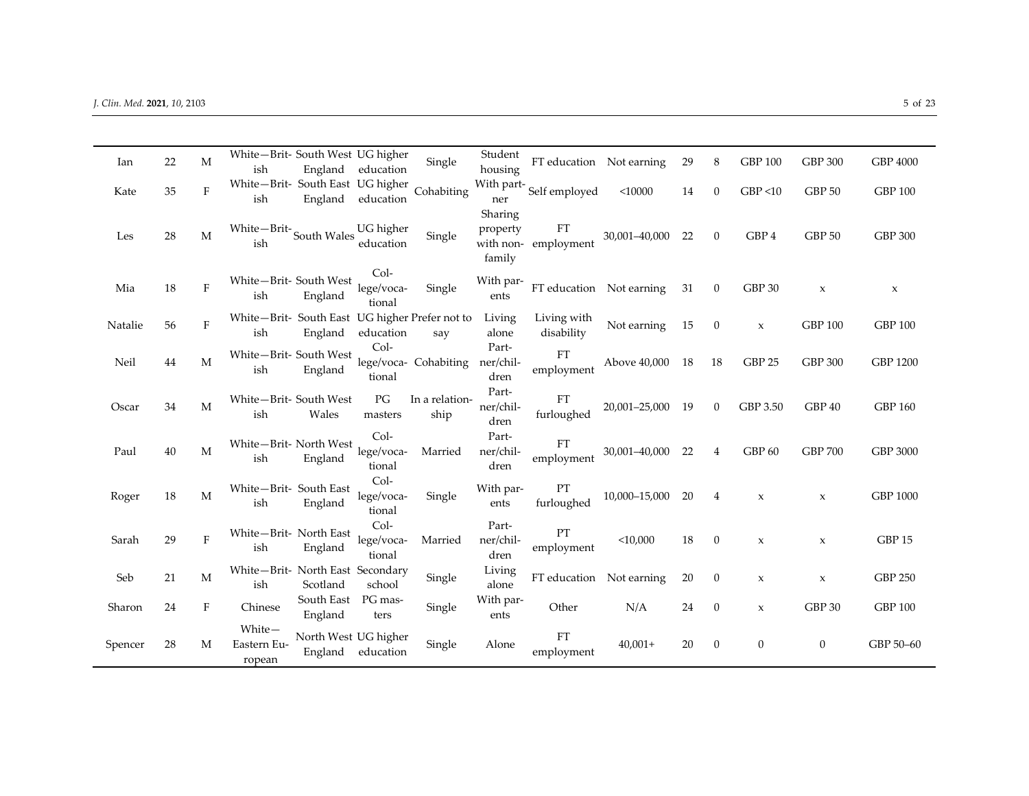| Ian     | 22 | M       | White-Brit- South West UG higher                                                                 |                      |                   | Single                | Student    | FT education Not earning |                          | 29 | 8                | <b>GBP 100</b>      | GBP 300           | GBP 4000        |
|---------|----|---------|--------------------------------------------------------------------------------------------------|----------------------|-------------------|-----------------------|------------|--------------------------|--------------------------|----|------------------|---------------------|-------------------|-----------------|
|         |    |         | ish                                                                                              |                      | England education |                       | housing    |                          |                          |    |                  |                     |                   |                 |
| Kate    | 35 | $\rm F$ | White-Brit- South East UG higher                                                                 |                      |                   | Cohabiting            | With part- | Self employed            | $<$ 10000                | 14 | $\mathbf{0}$     | GBP < 10            | GBP <sub>50</sub> | <b>GBP 100</b>  |
|         |    |         | ish                                                                                              | England              | education         |                       | ner        |                          |                          |    |                  |                     |                   |                 |
|         |    |         |                                                                                                  |                      |                   |                       | Sharing    |                          |                          |    |                  |                     |                   |                 |
| Les     | 28 | M       | $\label{thm:2}$<br>White $-\mathop{\rm Brit}\nolimits^{\mathop{\text{--}}\nolimits}$ South Wales |                      | UG higher         | Single                | property   | FT                       | 30,001-40,000 22         |    | $\theta$         | GBP 4               | GBP <sub>50</sub> | <b>GBP 300</b>  |
|         |    |         | ish                                                                                              |                      | education         |                       |            | with non-employment      |                          |    |                  |                     |                   |                 |
|         |    |         |                                                                                                  |                      |                   |                       | family     |                          |                          |    |                  |                     |                   |                 |
|         |    |         | White-Brit- South West                                                                           |                      | $Col-$            |                       | With par-  |                          |                          |    |                  |                     |                   |                 |
| Mia     | 18 | $\rm F$ | ish                                                                                              | England              | lege/voca-        | Single                | ents       |                          | FT education Not earning | 31 | $\theta$         | GBP 30              | $\mathbf x$       | $\mathbf x$     |
|         |    |         |                                                                                                  |                      | tional            |                       |            |                          |                          |    |                  |                     |                   |                 |
| Natalie | 56 | $\rm F$ | White-Brit- South East UG higher Prefer not to                                                   |                      |                   |                       | Living     | Living with              | Not earning              | 15 | $\mathbf{0}$     |                     | <b>GBP 100</b>    | <b>GBP 100</b>  |
|         |    |         | ish                                                                                              | England              | education         | say                   | alone      | disability               |                          |    |                  | $\boldsymbol{\chi}$ |                   |                 |
|         |    |         | White-Brit- South West                                                                           |                      | Col-              |                       | Part-      | FT                       |                          |    |                  |                     |                   |                 |
| Neil    | 44 | M       | ish                                                                                              | England              |                   | lege/voca- Cohabiting | ner/chil-  | employment               | Above 40,000 18          |    | 18               | GBP <sub>25</sub>   | GBP 300           | GBP 1200        |
|         |    |         |                                                                                                  |                      | tional            |                       | dren       |                          |                          |    |                  |                     |                   |                 |
|         |    |         | White-Brit- South West                                                                           |                      | PG                | In a relation-        | Part-      | FT                       |                          |    |                  |                     |                   |                 |
| Oscar   | 34 | M       | ish                                                                                              | Wales                | masters           | ship                  | ner/chil-  |                          | 20,001-25,000 19         |    | $\overline{0}$   | GBP 3.50            | GBP 40            | <b>GBP 160</b>  |
|         |    |         |                                                                                                  |                      |                   |                       | dren       | furloughed               |                          |    |                  |                     |                   |                 |
|         |    |         | White-Brit- North West                                                                           |                      | $Col-$            |                       | Part-      | FT                       |                          |    |                  |                     |                   |                 |
| Paul    | 40 | M       | ish                                                                                              | England              | lege/voca-        | Married               | ner/chil-  | employment               | 30,001-40,000            | 22 | $\overline{4}$   | GBP <sub>60</sub>   | <b>GBP 700</b>    | GBP 3000        |
|         |    |         |                                                                                                  |                      | tional            |                       | dren       |                          |                          |    |                  |                     |                   |                 |
|         |    |         | White-Brit- South East                                                                           |                      | $Col-$            |                       | With par-  | PT                       |                          |    |                  |                     |                   |                 |
| Roger   | 18 | M       | ish                                                                                              | England              | lege/voca-        | Single                | ents       | furloughed               | 10,000-15,000            | 20 | 4                | $\boldsymbol{\chi}$ | $\mathbf x$       | <b>GBP 1000</b> |
|         |    |         |                                                                                                  |                      | tional            |                       |            |                          |                          |    |                  |                     |                   |                 |
|         |    |         | White-Brit- North East                                                                           |                      | $Col-$            |                       | Part-      | PT                       |                          |    |                  |                     |                   |                 |
| Sarah   | 29 | $\rm F$ | ish                                                                                              | England              | lege/voca-        | Married               | ner/chil-  | employment               | $<$ 10,000               | 18 | $\mathbf{0}$     | $\boldsymbol{\chi}$ | $\mathbf x$       | GBP 15          |
|         |    |         |                                                                                                  |                      | tional            |                       | dren       |                          |                          |    |                  |                     |                   |                 |
| Seb     | 21 | M       | White-Brit- North East Secondary                                                                 |                      |                   | Single                | Living     | FT education Not earning |                          | 20 | $\mathbf{0}$     | $\mathsf X$         |                   | <b>GBP 250</b>  |
|         |    |         | ish                                                                                              | Scotland             | school            |                       | alone      |                          |                          |    |                  |                     | $\mathbf x$       |                 |
| Sharon  | 24 | F       | Chinese                                                                                          | South East           | PG mas-           | Single                | With par-  | Other                    | N/A                      | 24 | $\boldsymbol{0}$ |                     | GBP 30            | <b>GBP 100</b>  |
|         |    |         |                                                                                                  | England              | ters              |                       | ents       |                          |                          |    |                  | $\boldsymbol{\chi}$ |                   |                 |
|         |    |         | White-                                                                                           | North West UG higher |                   |                       |            | FT                       |                          |    |                  |                     |                   |                 |
| Spencer | 28 | M       | Eastern Eu-                                                                                      |                      | England education | Single                | Alone      | employment               | $40,001+$                | 20 | $\mathbf{0}$     | $\mathbf{0}$        | $\mathbf{0}$      | GBP 50-60       |
|         |    |         | ropean                                                                                           |                      |                   |                       |            |                          |                          |    |                  |                     |                   |                 |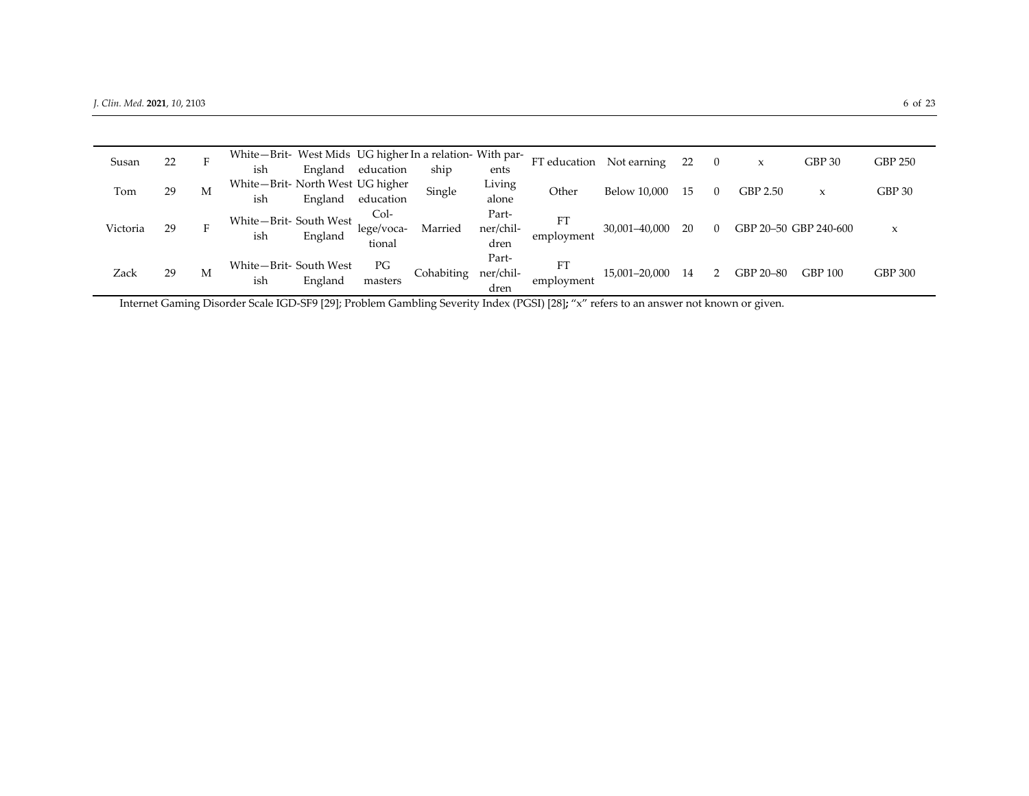| Susan    | 22 | F | White-Brit- West Mids UG higher In a relation- With par- |         |            |            |           | FT education Not earning |               | 22  | $\Omega$ | ⋏                     | GBP 30         | <b>GBP 250</b> |
|----------|----|---|----------------------------------------------------------|---------|------------|------------|-----------|--------------------------|---------------|-----|----------|-----------------------|----------------|----------------|
|          |    |   | ish                                                      | England | education  | ship       | ents      |                          |               |     |          |                       |                |                |
| Tom      | 29 | M | White-Brit- North West UG higher                         |         |            | Single     | Living    | Other                    | Below 10,000  | 15  | $\left($ | GBP 2.50              |                | GBP 30         |
|          |    |   | ish                                                      | England | education  |            | alone     |                          |               |     |          |                       |                |                |
|          |    |   | White-Brit- South West                                   |         | Col-       |            | Part-     | <b>FT</b>                |               |     |          |                       |                |                |
| Victoria | 29 | F | ish                                                      | England | lege/voca- | Married    | ner/chil- | employment               | 30,001-40,000 | -20 | $\Omega$ | GBP 20-50 GBP 240-600 |                | X              |
|          |    |   |                                                          |         | tional     |            | dren      |                          |               |     |          |                       |                |                |
|          |    |   | White-Brit-South West                                    |         | PG         |            | Part-     | FT                       |               |     |          |                       |                |                |
| Zack     | 29 | М | ish                                                      | England | masters    | Cohabiting | ner/chil- | employment               | 15,001-20,000 | -14 |          | GBP 20-80             | <b>GBP 100</b> | <b>GBP 300</b> |
|          |    |   |                                                          |         |            |            | dren      |                          |               |     |          |                       |                |                |

Internet Gaming Disorder Scale IGD‐SF9 [29]; Problem Gambling Severity Index (PGSI) [28]**;** "x" refers to an answer not known or given.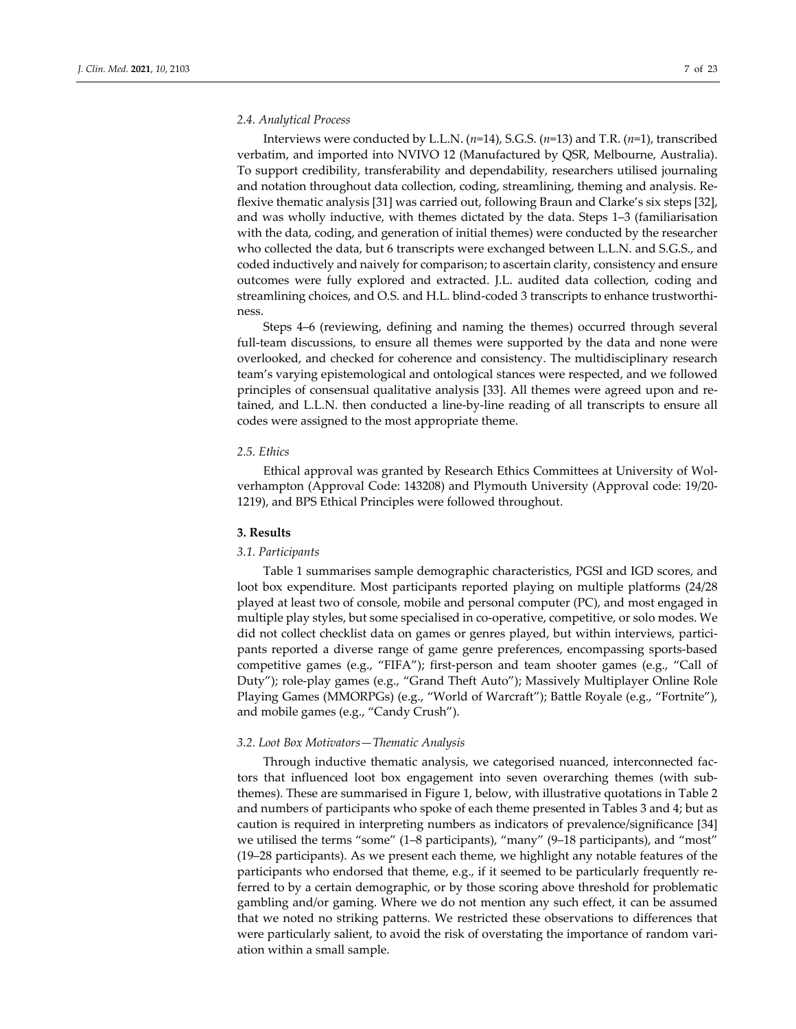#### *2.4. Analytical Process*

Interviews were conducted by L.L.N. (*n*=14), S.G.S. (*n*=13) and T.R. (*n*=1), transcribed verbatim, and imported into NVIVO 12 (Manufactured by QSR, Melbourne, Australia). To support credibility, transferability and dependability, researchers utilised journaling and notation throughout data collection, coding, streamlining, theming and analysis. Re‐ flexive thematic analysis [31] was carried out, following Braun and Clarke's six steps [32], and was wholly inductive, with themes dictated by the data. Steps 1–3 (familiarisation with the data, coding, and generation of initial themes) were conducted by the researcher who collected the data, but 6 transcripts were exchanged between L.L.N. and S.G.S., and coded inductively and naively for comparison; to ascertain clarity, consistency and ensure outcomes were fully explored and extracted. J.L. audited data collection, coding and streamlining choices, and O.S. and H.L. blind‐coded 3 transcripts to enhance trustworthi‐ ness.

Steps 4–6 (reviewing, defining and naming the themes) occurred through several full-team discussions, to ensure all themes were supported by the data and none were overlooked, and checked for coherence and consistency. The multidisciplinary research team's varying epistemological and ontological stances were respected, and we followed principles of consensual qualitative analysis [33]. All themes were agreed upon and re‐ tained, and L.L.N. then conducted a line‐by‐line reading of all transcripts to ensure all codes were assigned to the most appropriate theme.

#### *2.5. Ethics*

Ethical approval was granted by Research Ethics Committees at University of Wol‐ verhampton (Approval Code: 143208) and Plymouth University (Approval code: 19/20‐ 1219), and BPS Ethical Principles were followed throughout.

### **3. Results**

#### *3.1. Participants*

Table 1 summarises sample demographic characteristics, PGSI and IGD scores, and loot box expenditure. Most participants reported playing on multiple platforms (24/28 played at least two of console, mobile and personal computer (PC), and most engaged in multiple play styles, but some specialised in co-operative, competitive, or solo modes. We did not collect checklist data on games or genres played, but within interviews, participants reported a diverse range of game genre preferences, encompassing sports‐based competitive games (e.g., "FIFA"); first-person and team shooter games (e.g., "Call of Duty"); role‐play games (e.g., "Grand Theft Auto"); Massively Multiplayer Online Role Playing Games (MMORPGs) (e.g., "World of Warcraft"); Battle Royale (e.g., "Fortnite"), and mobile games (e.g., "Candy Crush").

#### *3.2. Loot Box Motivators—Thematic Analysis*

Through inductive thematic analysis, we categorised nuanced, interconnected fac‐ tors that influenced loot box engagement into seven overarching themes (with sub‐ themes). These are summarised in Figure 1, below, with illustrative quotations in Table 2 and numbers of participants who spoke of each theme presented in Tables 3 and 4; but as caution is required in interpreting numbers as indicators of prevalence/significance [34] we utilised the terms "some" (1–8 participants), "many" (9–18 participants), and "most" (19–28 participants). As we present each theme, we highlight any notable features of the participants who endorsed that theme, e.g., if it seemed to be particularly frequently referred to by a certain demographic, or by those scoring above threshold for problematic gambling and/or gaming. Where we do not mention any such effect, it can be assumed that we noted no striking patterns. We restricted these observations to differences that were particularly salient, to avoid the risk of overstating the importance of random vari‐ ation within a small sample.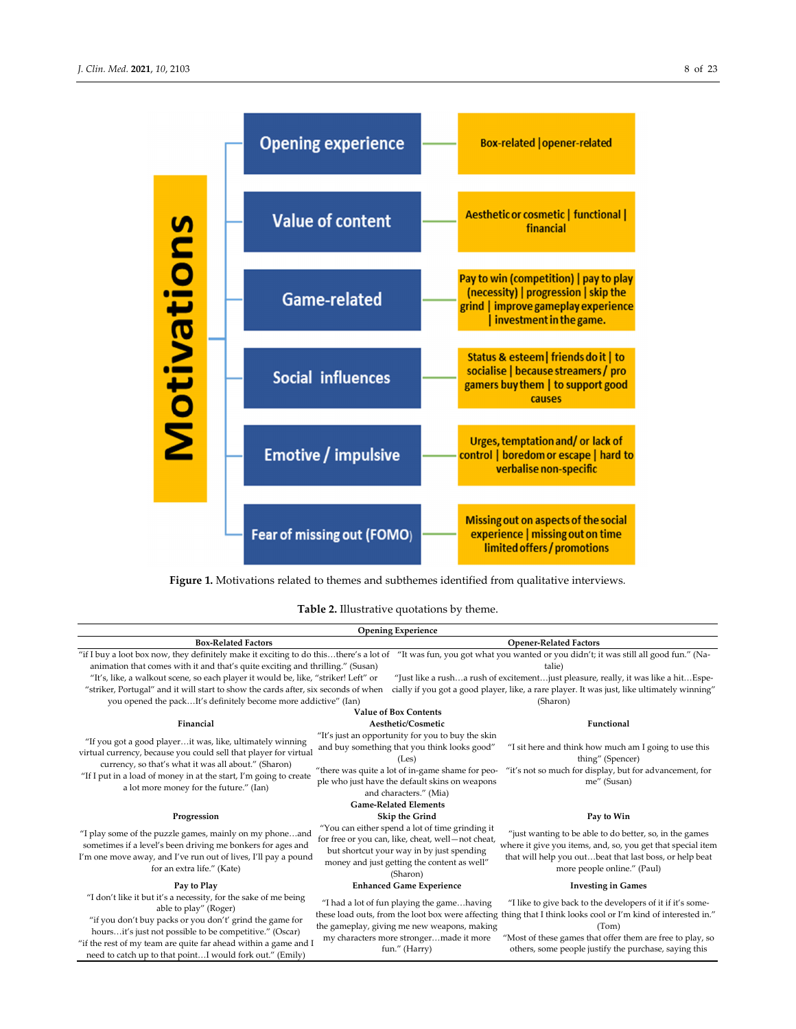

**Figure 1.** Motivations related to themes and subthemes identified from qualitative interviews*.*

### **Table 2.** Illustrative quotations by theme.

|                                                                                                                                                                                                                                                                                                                                                                                                                                                                                                             | <b>Opening Experience</b>                                                                                                                                                                                                                  |                                                                                                                                                                                                                                                                                                             |
|-------------------------------------------------------------------------------------------------------------------------------------------------------------------------------------------------------------------------------------------------------------------------------------------------------------------------------------------------------------------------------------------------------------------------------------------------------------------------------------------------------------|--------------------------------------------------------------------------------------------------------------------------------------------------------------------------------------------------------------------------------------------|-------------------------------------------------------------------------------------------------------------------------------------------------------------------------------------------------------------------------------------------------------------------------------------------------------------|
| <b>Box-Related Factors</b>                                                                                                                                                                                                                                                                                                                                                                                                                                                                                  |                                                                                                                                                                                                                                            | <b>Opener-Related Factors</b>                                                                                                                                                                                                                                                                               |
| "if I buy a loot box now, they definitely make it exciting to do thisthere's a lot of "It was fun, you got what you wanted or you didn't; it was still all good fun." (Na-<br>animation that comes with it and that's quite exciting and thrilling." (Susan)<br>"It's, like, a walkout scene, so each player it would be, like, "striker! Left" or<br>"striker, Portugal" and it will start to show the cards after, six seconds of when<br>you opened the packIt's definitely become more addictive" (Ian) | <b>Value of Box Contents</b>                                                                                                                                                                                                               | talie)<br>"Just like a rusha rush of excitementjust pleasure, really, it was like a hitEspe-<br>cially if you got a good player, like, a rare player. It was just, like ultimately winning"<br>(Sharon)                                                                                                     |
| Financial                                                                                                                                                                                                                                                                                                                                                                                                                                                                                                   | Aesthetic/Cosmetic                                                                                                                                                                                                                         | Functional                                                                                                                                                                                                                                                                                                  |
| "If you got a good playerit was, like, ultimately winning<br>virtual currency, because you could sell that player for virtual<br>currency, so that's what it was all about." (Sharon)<br>"If I put in a load of money in at the start, I'm going to create<br>a lot more money for the future." (Ian)                                                                                                                                                                                                       | "It's just an opportunity for you to buy the skin<br>and buy something that you think looks good"<br>(Les)<br>"there was quite a lot of in-game shame for peo-<br>ple who just have the default skins on weapons<br>and characters." (Mia) | "I sit here and think how much am I going to use this<br>thing" (Spencer)<br>"it's not so much for display, but for advancement, for<br>me" (Susan)                                                                                                                                                         |
|                                                                                                                                                                                                                                                                                                                                                                                                                                                                                                             | <b>Game-Related Elements</b>                                                                                                                                                                                                               |                                                                                                                                                                                                                                                                                                             |
| Progression                                                                                                                                                                                                                                                                                                                                                                                                                                                                                                 | Skip the Grind                                                                                                                                                                                                                             | Pay to Win                                                                                                                                                                                                                                                                                                  |
| "I play some of the puzzle games, mainly on my phoneand<br>sometimes if a level's been driving me bonkers for ages and<br>I'm one move away, and I've run out of lives, I'll pay a pound<br>for an extra life." (Kate)                                                                                                                                                                                                                                                                                      | "You can either spend a lot of time grinding it<br>for free or you can, like, cheat, well-not cheat,<br>but shortcut your way in by just spending<br>money and just getting the content as well"<br>(Sharon)                               | "just wanting to be able to do better, so, in the games<br>where it give you items, and, so, you get that special item<br>that will help you outbeat that last boss, or help beat<br>more people online." (Paul)                                                                                            |
| Pay to Play                                                                                                                                                                                                                                                                                                                                                                                                                                                                                                 | <b>Enhanced Game Experience</b>                                                                                                                                                                                                            | <b>Investing in Games</b>                                                                                                                                                                                                                                                                                   |
| "I don't like it but it's a necessity, for the sake of me being<br>able to play" (Roger)<br>"if you don't buy packs or you don't' grind the game for<br>hoursit's just not possible to be competitive." (Oscar)<br>"if the rest of my team are quite far ahead within a game and I<br>need to catch up to that pointI would fork out." (Emily)                                                                                                                                                              | "I had a lot of fun playing the gamehaving<br>the gameplay, giving me new weapons, making<br>my characters more strongermade it more<br>fun." (Harry)                                                                                      | "I like to give back to the developers of it if it's some-<br>these load outs, from the loot box were affecting thing that I think looks cool or I'm kind of interested in."<br>(Tom)<br>"Most of these games that offer them are free to play, so<br>others, some people justify the purchase, saying this |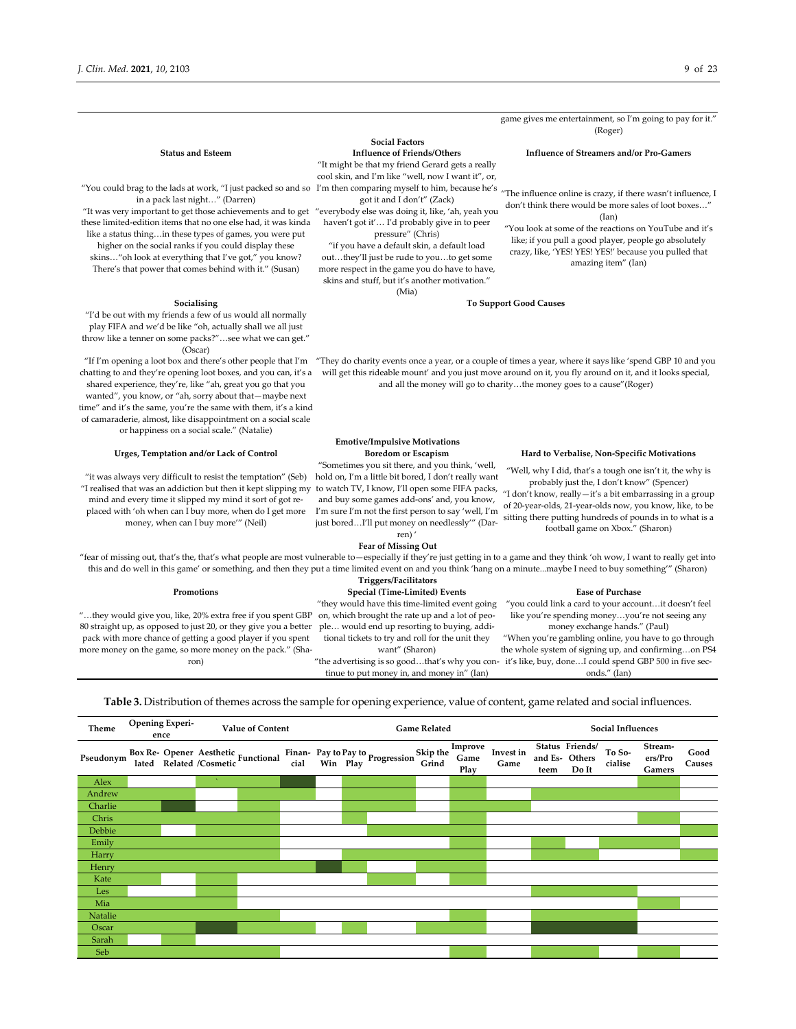game gives me entertainment, so I'm going to pay for it." (Roger)

"You could brag to the lads at work, "I just packed so and so I'm then comparing myself to him, because he's in a pack last night…" (Darren)

"It was very important to get those achievements and to get "everybody else was doing it, like, 'ah, yeah you these limited‐edition items that no one else had, it was kinda like a status thing…in these types of games, you were put higher on the social ranks if you could display these

skins…"oh look at everything that I've got," you know? There's that power that comes behind with it." (Susan)

### **Social Factors** "It might be that my friend Gerard gets a really

cool skin, and I'm like "well, now I want it", or,

got it and I don't" (Zack) haven't got it'… I'd probably give in to peer

pressure" (Chris) "if you have a default skin, a default load out…they'll just be rude to you…to get some more respect in the game you do have to have, skins and stuff, but it's another motivation."

(Mia)

#### **Status and Esteem Influence of Friends/Others Influence of Streamers and/or Pro‐Gamers**

"The influence online is crazy, if there wasn't influence, I don't think there would be more sales of loot boxes...' (Ian)

"You look at some of the reactions on YouTube and it's like; if you pull a good player, people go absolutely crazy, like, 'YES! YES! YES!' because you pulled that amazing item" (Ian)

#### **Socialising To Support Good Causes**

"I'd be out with my friends a few of us would all normally play FIFA and we'd be like "oh, actually shall we all just throw like a tenner on some packs?"…see what we can get." (Oscar)

chatting to and they're opening loot boxes, and you can, it's a shared experience, they're, like "ah, great you go that you wanted", you know, or "ah, sorry about that—maybe next time" and it's the same, you're the same with them, it's a kind of camaraderie, almost, like disappointment on a social scale or happiness on a social scale." (Natalie)

"it was always very difficult to resist the temptation" (Seb) hold on, I'm a little bit bored, I don't really want "I realised that was an addiction but then it kept slipping my to watch TV, I know, I'll open some FIFA packs, mind and every time it slipped my mind it sort of got re‐ placed with 'oh when can I buy more, when do I get more money, when can I buy more'" (Neil)

"If I'm opening a loot box and there's other people that I'm "They do charity events once a year, or a couple of times a year, where it says like 'spend GBP 10 and you will get this rideable mount' and you just move around on it, you fly around on it, and it looks special, and all the money will go to charity…the money goes to a cause"(Roger)

## **Emotive/Impulsive Motivations**

"Sometimes you sit there, and you think, 'well, and buy some games add‐ons' and, you know, I'm sure I'm not the first person to say 'well, I'm just bored…I'll put money on needlessly'" (Dar‐ ren) '

**Urges, Temptation and/or Lack of Control Boredom or Escapism Hard to Verbalise, Non‐Specific Motivations**

"Well, why I did, that's a tough one isn't it, the why is probably just the, I don't know" (Spencer) "I don't know, really—it's a bit embarrassing in a group of 20‐year‐olds, 21‐year‐olds now, you know, like, to be sitting there putting hundreds of pounds in to what is a football game on Xbox." (Sharon)

#### **Fear of Missing Out**

"fear of missing out, that's the, that's what people are most vulnerable to—especially if they're just getting in to a game and they think 'oh wow, I want to really get into this and do well in this game' or something, and then they put a time limited event on and you think 'hang on a minute...maybe I need to buy something'" (Sharon) **Triggers/Facilitators**

"…they would give you, like, 20% extra free if you spent GBP on, which brought the rate up and a lot of peo‐ 80 straight up, as opposed to just 20, or they give you a better pack with more chance of getting a good player if you spent more money on the game, so more money on the pack." (Sharon)

**Promotions Special (Time‐Limited) Events Ease of Purchase** "they would have this time‐limited event going ple… would end up resorting to buying, addi‐ tional tickets to try and roll for the unit they want" (Sharon)

tinue to put money in, and money in" (Ian)

"you could link a card to your account…it doesn't feel like you're spending money…you're not seeing any money exchange hands." (Paul)

"the advertising is so good…that's why you con‐ it's like, buy, done…I could spend GBP 500 in five sec‐ "When you're gambling online, you have to go through the whole system of signing up, and confirming…on PS4 onds." (Ian)



**Table 3.** Distribution of themes across the sample for opening experience, value of content, game related and social influences.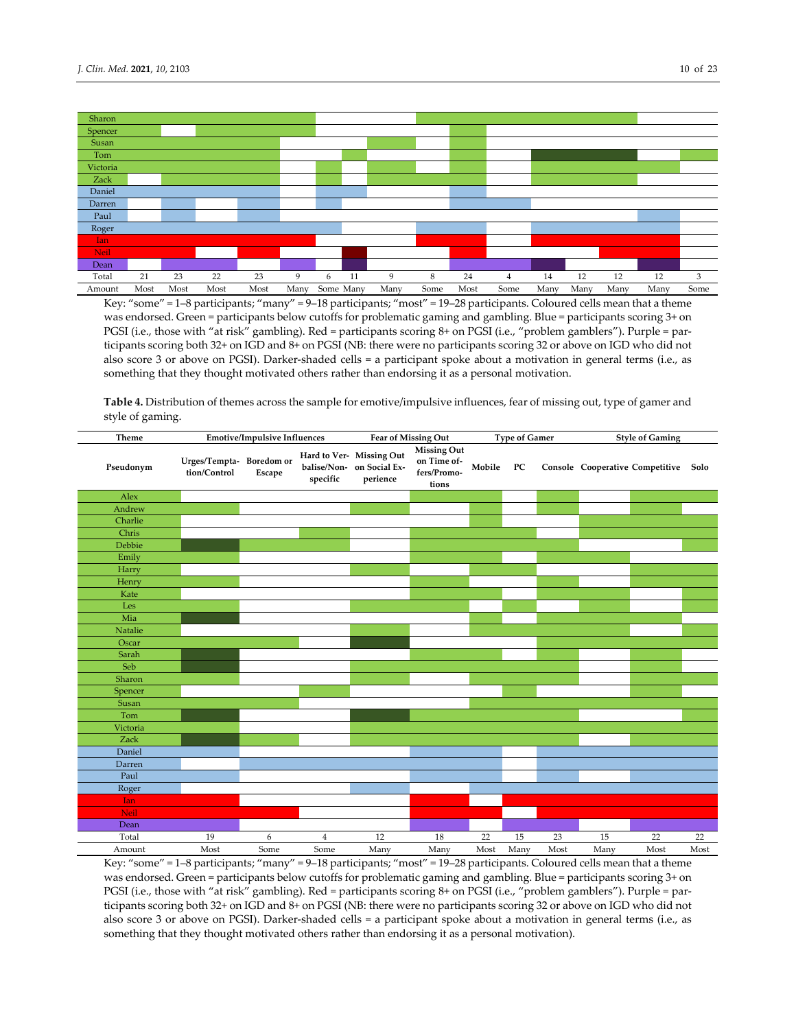

Key: "some" = 1–8 participants; "many" = 9–18 participants; "most" = 19–28 participants. Coloured cells mean that a theme was endorsed. Green = participants below cutoffs for problematic gaming and gambling. Blue = participants scoring 3+ on PGSI (i.e., those with "at risk" gambling). Red = participants scoring 8+ on PGSI (i.e., "problem gamblers"). Purple = par‐ ticipants scoring both 32+ on IGD and 8+ on PGSI (NB: there were no participants scoring 32 or above on IGD who did not also score 3 or above on PGSI). Darker‐shaded cells = a participant spoke about a motivation in general terms (i.e., as something that they thought motivated others rather than endorsing it as a personal motivation.

**Table 4.** Distribution of themes across the sample for emotive/impulsive influences, fear of missing out, type of gamer and style of gaming.

| Theme      |                                         | <b>Emotive/Impulsive Influences</b> | Fear of Missing Out |                                                                   | <b>Type of Gamer</b>                               |        | <b>Style of Gaming</b> |      |      |                                      |      |
|------------|-----------------------------------------|-------------------------------------|---------------------|-------------------------------------------------------------------|----------------------------------------------------|--------|------------------------|------|------|--------------------------------------|------|
| Pseudonym  | Urges/Tempta-Boredom or<br>tion/Control | ${\bf E}$                           | specific            | Hard to Ver- Missing Out<br>balise/Non- on Social Ex-<br>perience | Missing Out<br>on Time of-<br>fers/Promo-<br>tions | Mobile | PC                     |      |      | Console Cooperative Competitive Solo |      |
| Alex       |                                         |                                     |                     |                                                                   |                                                    |        |                        |      |      |                                      |      |
| Andrew     |                                         |                                     |                     |                                                                   |                                                    |        |                        |      |      |                                      |      |
| Charlie    |                                         |                                     |                     |                                                                   |                                                    |        |                        |      |      |                                      |      |
| Chris      |                                         |                                     |                     |                                                                   |                                                    |        |                        |      |      |                                      |      |
| Debbie     |                                         |                                     |                     |                                                                   |                                                    |        |                        |      |      |                                      |      |
| Emily      |                                         |                                     |                     |                                                                   |                                                    |        |                        |      |      |                                      |      |
| Harry      |                                         |                                     |                     |                                                                   |                                                    |        |                        |      |      |                                      |      |
| Henry      |                                         |                                     |                     |                                                                   |                                                    |        |                        |      |      |                                      |      |
| Kate       |                                         |                                     |                     |                                                                   |                                                    |        |                        |      |      |                                      |      |
| Les        |                                         |                                     |                     |                                                                   |                                                    |        |                        |      |      |                                      |      |
| Mia        |                                         |                                     |                     |                                                                   |                                                    |        |                        |      |      |                                      |      |
| Natalie    |                                         |                                     |                     |                                                                   |                                                    |        |                        |      |      |                                      |      |
| Oscar      |                                         |                                     |                     |                                                                   |                                                    |        |                        |      |      |                                      |      |
| Sarah      |                                         |                                     |                     |                                                                   |                                                    |        |                        |      |      |                                      |      |
| Seb        |                                         |                                     |                     |                                                                   |                                                    |        |                        |      |      |                                      |      |
| Sharon     |                                         |                                     |                     |                                                                   |                                                    |        |                        |      |      |                                      |      |
| Spencer    |                                         |                                     |                     |                                                                   |                                                    |        |                        |      |      |                                      |      |
| Susan      |                                         |                                     |                     |                                                                   |                                                    |        |                        |      |      |                                      |      |
| Tom        |                                         |                                     |                     |                                                                   |                                                    |        |                        |      |      |                                      |      |
| Victoria   |                                         |                                     |                     |                                                                   |                                                    |        |                        |      |      |                                      |      |
| Zack       |                                         |                                     |                     |                                                                   |                                                    |        |                        |      |      |                                      |      |
| Daniel     |                                         |                                     |                     |                                                                   |                                                    |        |                        |      |      |                                      |      |
| Darren     |                                         |                                     |                     |                                                                   |                                                    |        |                        |      |      |                                      |      |
| Paul       |                                         |                                     |                     |                                                                   |                                                    |        |                        |      |      |                                      |      |
| Roger      |                                         |                                     |                     |                                                                   |                                                    |        |                        |      |      |                                      |      |
| <b>Ian</b> |                                         |                                     |                     |                                                                   |                                                    |        |                        |      |      |                                      |      |
| Neil       |                                         |                                     |                     |                                                                   |                                                    |        |                        |      |      |                                      |      |
| Dean       |                                         |                                     |                     |                                                                   |                                                    |        |                        |      |      |                                      |      |
| Total      | 19                                      | 6                                   | $\overline{4}$      | 12                                                                | 18                                                 | 22     | 15                     | 23   | 15   | 22                                   | 22   |
| Amount     | Most                                    | Some                                | Some                | Many                                                              | Many                                               | Most   | Many                   | Most | Many | Most                                 | Most |

Key: "some" = 1–8 participants; "many" = 9–18 participants; "most" = 19–28 participants. Coloured cells mean that a theme was endorsed. Green = participants below cutoffs for problematic gaming and gambling. Blue = participants scoring 3+ on PGSI (i.e., those with "at risk" gambling). Red = participants scoring 8+ on PGSI (i.e., "problem gamblers"). Purple = participants scoring both 32+ on IGD and 8+ on PGSI (NB: there were no participants scoring 32 or above on IGD who did not also score 3 or above on PGSI). Darker‐shaded cells = a participant spoke about a motivation in general terms (i.e., as something that they thought motivated others rather than endorsing it as a personal motivation).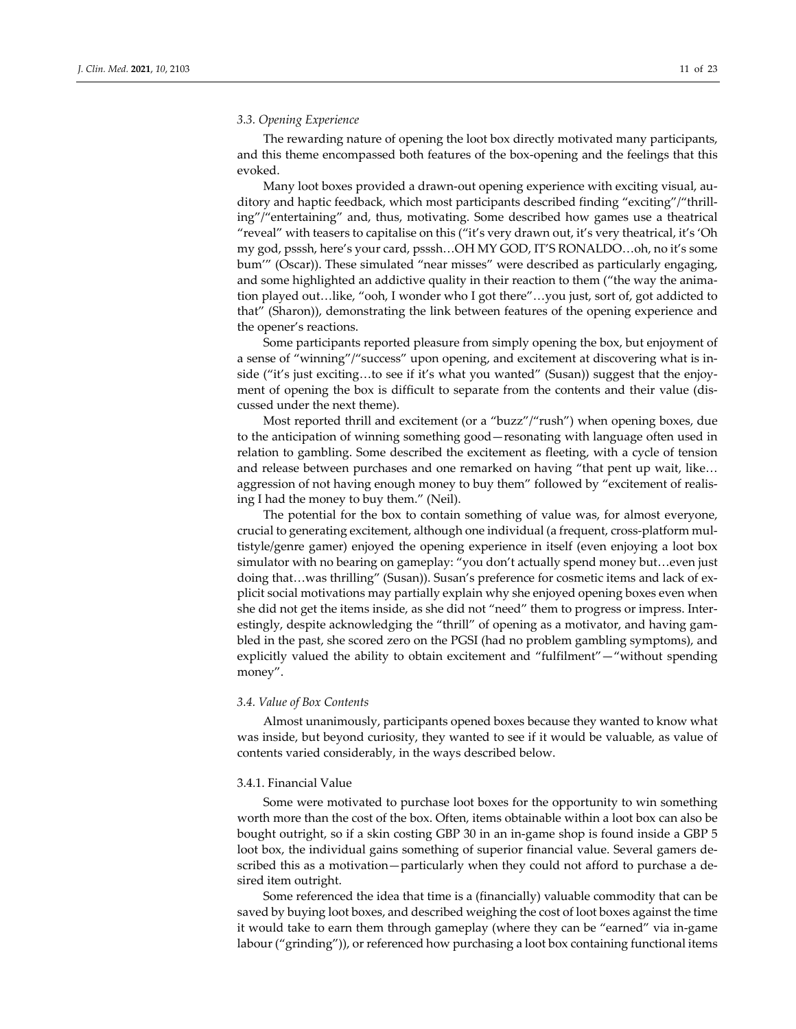#### *3.3. Opening Experience*

The rewarding nature of opening the loot box directly motivated many participants, and this theme encompassed both features of the box-opening and the feelings that this evoked.

Many loot boxes provided a drawn‐out opening experience with exciting visual, au‐ ditory and haptic feedback, which most participants described finding "exciting"/"thrill‐ ing"/"entertaining" and, thus, motivating. Some described how games use a theatrical "reveal" with teasers to capitalise on this ("it's very drawn out, it's very theatrical, it's 'Oh my god, psssh, here's your card, psssh…OH MY GOD, IT'S RONALDO…oh, no it's some bum'" (Oscar)). These simulated "near misses" were described as particularly engaging, and some highlighted an addictive quality in their reaction to them ("the way the animation played out…like, "ooh, I wonder who I got there"…you just, sort of, got addicted to that" (Sharon)), demonstrating the link between features of the opening experience and the opener's reactions.

Some participants reported pleasure from simply opening the box, but enjoyment of a sense of "winning"/"success" upon opening, and excitement at discovering what is in‐ side ("it's just exciting...to see if it's what you wanted" (Susan)) suggest that the enjoyment of opening the box is difficult to separate from the contents and their value (discussed under the next theme).

Most reported thrill and excitement (or a "buzz"/"rush") when opening boxes, due to the anticipation of winning something good—resonating with language often used in relation to gambling. Some described the excitement as fleeting, with a cycle of tension and release between purchases and one remarked on having "that pent up wait, like… aggression of not having enough money to buy them" followed by "excitement of realising I had the money to buy them." (Neil).

The potential for the box to contain something of value was, for almost everyone, crucial to generating excitement, although one individual (a frequent, cross-platform multistyle/genre gamer) enjoyed the opening experience in itself (even enjoying a loot box simulator with no bearing on gameplay: "you don't actually spend money but…even just doing that…was thrilling" (Susan)). Susan's preference for cosmetic items and lack of ex‐ plicit social motivations may partially explain why she enjoyed opening boxes even when she did not get the items inside, as she did not "need" them to progress or impress. Inter‐ estingly, despite acknowledging the "thrill" of opening as a motivator, and having gambled in the past, she scored zero on the PGSI (had no problem gambling symptoms), and explicitly valued the ability to obtain excitement and "fulfilment"—"without spending money".

#### *3.4. Value of Box Contents*

Almost unanimously, participants opened boxes because they wanted to know what was inside, but beyond curiosity, they wanted to see if it would be valuable, as value of contents varied considerably, in the ways described below.

#### 3.4.1. Financial Value

Some were motivated to purchase loot boxes for the opportunity to win something worth more than the cost of the box. Often, items obtainable within a loot box can also be bought outright, so if a skin costing GBP 30 in an in‐game shop is found inside a GBP 5 loot box, the individual gains something of superior financial value. Several gamers de‐ scribed this as a motivation—particularly when they could not afford to purchase a desired item outright.

Some referenced the idea that time is a (financially) valuable commodity that can be saved by buying loot boxes, and described weighing the cost of loot boxes against the time it would take to earn them through gameplay (where they can be "earned" via in‐game labour ("grinding")), or referenced how purchasing a loot box containing functional items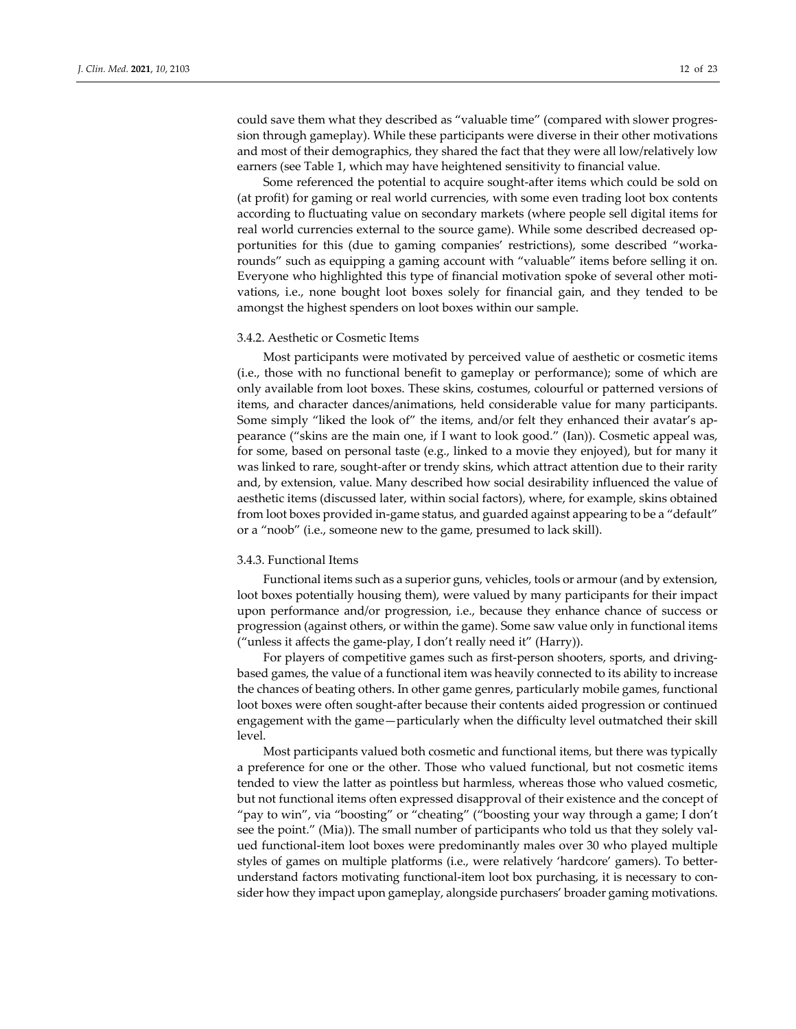could save them what they described as "valuable time" (compared with slower progression through gameplay). While these participants were diverse in their other motivations and most of their demographics, they shared the fact that they were all low/relatively low earners (see Table 1, which may have heightened sensitivity to financial value.

Some referenced the potential to acquire sought-after items which could be sold on (at profit) for gaming or real world currencies, with some even trading loot box contents according to fluctuating value on secondary markets (where people sell digital items for real world currencies external to the source game). While some described decreased opportunities for this (due to gaming companies' restrictions), some described "worka‐ rounds" such as equipping a gaming account with "valuable" items before selling it on. Everyone who highlighted this type of financial motivation spoke of several other motivations, i.e., none bought loot boxes solely for financial gain, and they tended to be amongst the highest spenders on loot boxes within our sample.

#### 3.4.2. Aesthetic or Cosmetic Items

Most participants were motivated by perceived value of aesthetic or cosmetic items (i.e., those with no functional benefit to gameplay or performance); some of which are only available from loot boxes. These skins, costumes, colourful or patterned versions of items, and character dances/animations, held considerable value for many participants. Some simply "liked the look of" the items, and/or felt they enhanced their avatar's appearance ("skins are the main one, if I want to look good." (Ian)). Cosmetic appeal was, for some, based on personal taste (e.g., linked to a movie they enjoyed), but for many it was linked to rare, sought-after or trendy skins, which attract attention due to their rarity and, by extension, value. Many described how social desirability influenced the value of aesthetic items (discussed later, within social factors), where, for example, skins obtained from loot boxes provided in‐game status, and guarded against appearing to be a "default" or a "noob" (i.e., someone new to the game, presumed to lack skill).

#### 3.4.3. Functional Items

Functional items such as a superior guns, vehicles, tools or armour (and by extension, loot boxes potentially housing them), were valued by many participants for their impact upon performance and/or progression, i.e., because they enhance chance of success or progression (against others, or within the game). Some saw value only in functional items ("unless it affects the game‐play, I don't really need it" (Harry)).

For players of competitive games such as first-person shooters, sports, and drivingbased games, the value of a functional item was heavily connected to its ability to increase the chances of beating others. In other game genres, particularly mobile games, functional loot boxes were often sought‐after because their contents aided progression or continued engagement with the game—particularly when the difficulty level outmatched their skill level.

Most participants valued both cosmetic and functional items, but there was typically a preference for one or the other. Those who valued functional, but not cosmetic items tended to view the latter as pointless but harmless, whereas those who valued cosmetic, but not functional items often expressed disapproval of their existence and the concept of "pay to win", via "boosting" or "cheating" ("boosting your way through a game; I don't see the point." (Mia)). The small number of participants who told us that they solely valued functional‐item loot boxes were predominantly males over 30 who played multiple styles of games on multiple platforms (i.e., were relatively 'hardcore' gamers). To better‐ understand factors motivating functional-item loot box purchasing, it is necessary to consider how they impact upon gameplay, alongside purchasers' broader gaming motivations.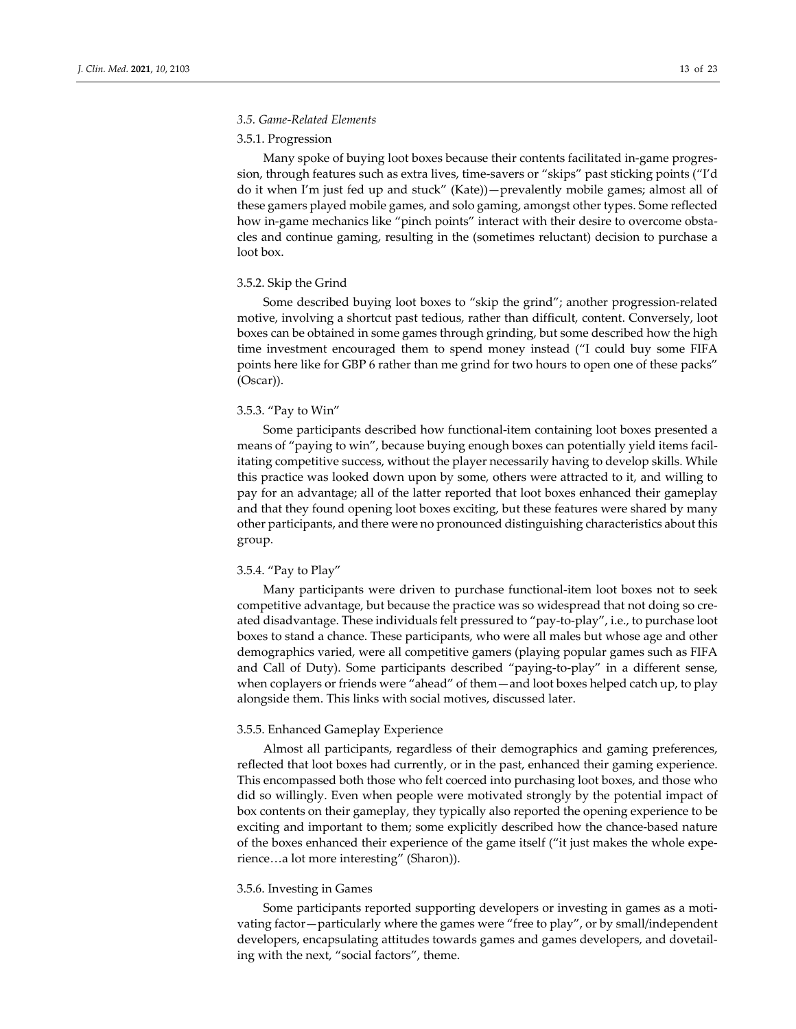#### *3.5. Game‐Related Elements*

#### 3.5.1. Progression

Many spoke of buying loot boxes because their contents facilitated in‐game progres‐ sion, through features such as extra lives, time‐savers or "skips" past sticking points ("I'd do it when I'm just fed up and stuck" (Kate))—prevalently mobile games; almost all of these gamers played mobile games, and solo gaming, amongst other types. Some reflected how in-game mechanics like "pinch points" interact with their desire to overcome obstacles and continue gaming, resulting in the (sometimes reluctant) decision to purchase a loot box.

#### 3.5.2. Skip the Grind

Some described buying loot boxes to "skip the grind"; another progression‐related motive, involving a shortcut past tedious, rather than difficult, content. Conversely, loot boxes can be obtained in some games through grinding, but some described how the high time investment encouraged them to spend money instead ("I could buy some FIFA points here like for GBP 6 rather than me grind for two hours to open one of these packs" (Oscar)).

#### 3.5.3. "Pay to Win"

Some participants described how functional‐item containing loot boxes presented a means of "paying to win", because buying enough boxes can potentially yield items facil‐ itating competitive success, without the player necessarily having to develop skills. While this practice was looked down upon by some, others were attracted to it, and willing to pay for an advantage; all of the latter reported that loot boxes enhanced their gameplay and that they found opening loot boxes exciting, but these features were shared by many other participants, and there were no pronounced distinguishing characteristics about this group.

#### 3.5.4. "Pay to Play"

Many participants were driven to purchase functional-item loot boxes not to seek competitive advantage, but because the practice was so widespread that not doing so created disadvantage. These individuals felt pressured to "pay‐to‐play", i.e., to purchase loot boxes to stand a chance. These participants, who were all males but whose age and other demographics varied, were all competitive gamers (playing popular games such as FIFA and Call of Duty). Some participants described "paying‐to‐play" in a different sense, when coplayers or friends were "ahead" of them—and loot boxes helped catch up, to play alongside them. This links with social motives, discussed later.

#### 3.5.5. Enhanced Gameplay Experience

Almost all participants, regardless of their demographics and gaming preferences, reflected that loot boxes had currently, or in the past, enhanced their gaming experience. This encompassed both those who felt coerced into purchasing loot boxes, and those who did so willingly. Even when people were motivated strongly by the potential impact of box contents on their gameplay, they typically also reported the opening experience to be exciting and important to them; some explicitly described how the chance‐based nature of the boxes enhanced their experience of the game itself ("it just makes the whole expe‐ rience…a lot more interesting" (Sharon)).

#### 3.5.6. Investing in Games

Some participants reported supporting developers or investing in games as a moti‐ vating factor—particularly where the games were "free to play", or by small/independent developers, encapsulating attitudes towards games and games developers, and dovetail‐ ing with the next, "social factors", theme.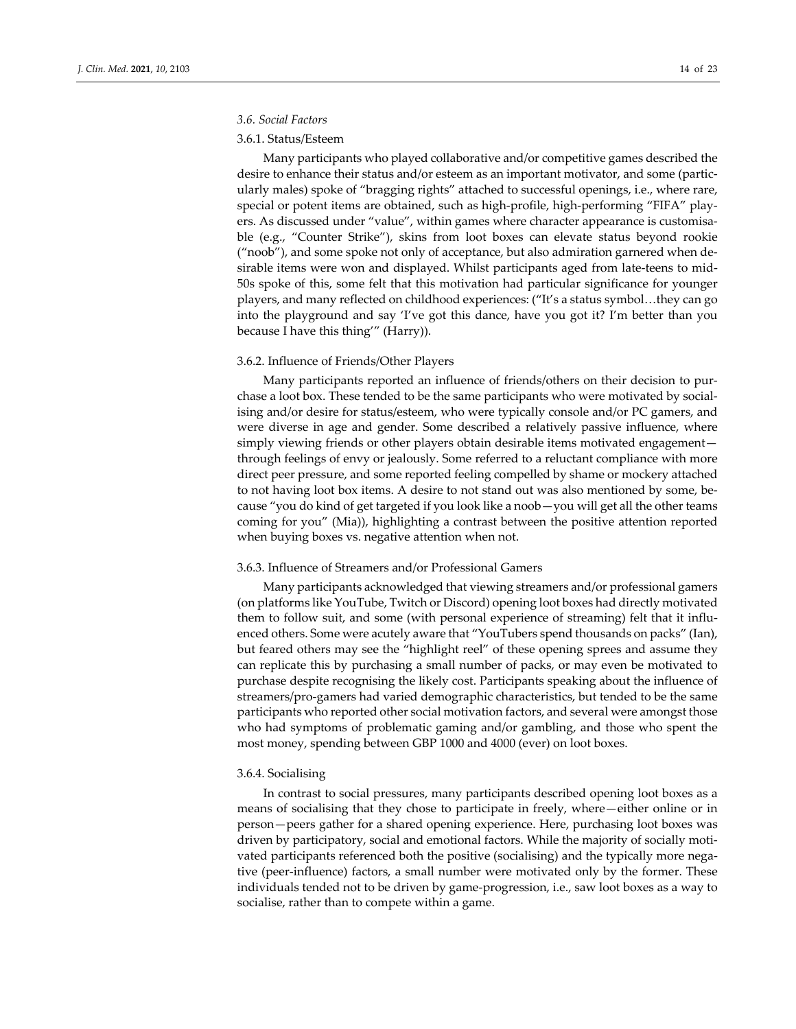#### *3.6. Social Factors*

#### 3.6.1. Status/Esteem

Many participants who played collaborative and/or competitive games described the desire to enhance their status and/or esteem as an important motivator, and some (partic‐ ularly males) spoke of "bragging rights" attached to successful openings, i.e., where rare, special or potent items are obtained, such as high-profile, high-performing "FIFA" players. As discussed under "value", within games where character appearance is customisable (e.g., "Counter Strike"), skins from loot boxes can elevate status beyond rookie ("noob"), and some spoke not only of acceptance, but also admiration garnered when de‐ sirable items were won and displayed. Whilst participants aged from late-teens to mid-50s spoke of this, some felt that this motivation had particular significance for younger players, and many reflected on childhood experiences: ("It's a status symbol…they can go into the playground and say 'I've got this dance, have you got it? I'm better than you because I have this thing'" (Harry)).

#### 3.6.2. Influence of Friends/Other Players

Many participants reported an influence of friends/others on their decision to pur‐ chase a loot box. These tended to be the same participants who were motivated by social‐ ising and/or desire for status/esteem, who were typically console and/or PC gamers, and were diverse in age and gender. Some described a relatively passive influence, where simply viewing friends or other players obtain desirable items motivated engagement through feelings of envy or jealously. Some referred to a reluctant compliance with more direct peer pressure, and some reported feeling compelled by shame or mockery attached to not having loot box items. A desire to not stand out was also mentioned by some, because "you do kind of get targeted if you look like a noob—you will get all the other teams coming for you" (Mia)), highlighting a contrast between the positive attention reported when buying boxes vs. negative attention when not.

#### 3.6.3. Influence of Streamers and/or Professional Gamers

Many participants acknowledged that viewing streamers and/or professional gamers (on platforms like YouTube, Twitch or Discord) opening loot boxes had directly motivated them to follow suit, and some (with personal experience of streaming) felt that it influ‐ enced others. Some were acutely aware that "YouTubers spend thousands on packs" (Ian), but feared others may see the "highlight reel" of these opening sprees and assume they can replicate this by purchasing a small number of packs, or may even be motivated to purchase despite recognising the likely cost. Participants speaking about the influence of streamers/pro‐gamers had varied demographic characteristics, but tended to be the same participants who reported other social motivation factors, and several were amongst those who had symptoms of problematic gaming and/or gambling, and those who spent the most money, spending between GBP 1000 and 4000 (ever) on loot boxes.

#### 3.6.4. Socialising

In contrast to social pressures, many participants described opening loot boxes as a means of socialising that they chose to participate in freely, where—either online or in person—peers gather for a shared opening experience. Here, purchasing loot boxes was driven by participatory, social and emotional factors. While the majority of socially moti‐ vated participants referenced both the positive (socialising) and the typically more negative (peer-influence) factors, a small number were motivated only by the former. These individuals tended not to be driven by game‐progression, i.e., saw loot boxes as a way to socialise, rather than to compete within a game.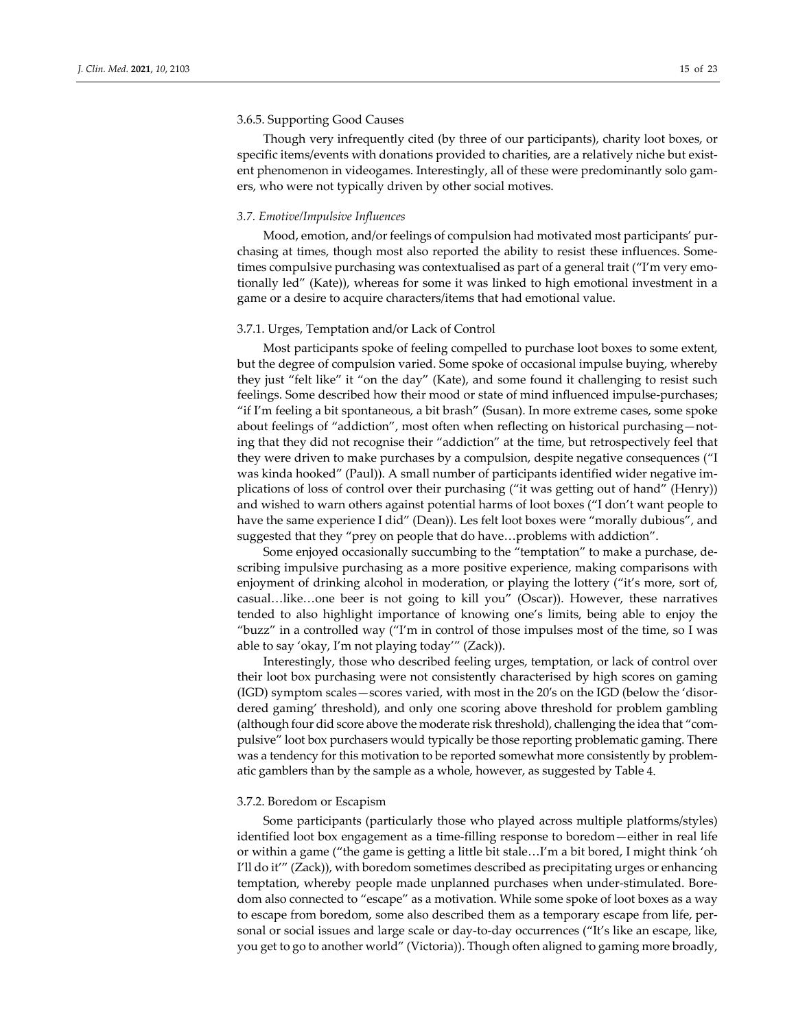#### 3.6.5. Supporting Good Causes

Though very infrequently cited (by three of our participants), charity loot boxes, or specific items/events with donations provided to charities, are a relatively niche but existent phenomenon in videogames. Interestingly, all of these were predominantly solo gamers, who were not typically driven by other social motives.

#### *3.7. Emotive/Impulsive Influences*

Mood, emotion, and/or feelings of compulsion had motivated most participants' purchasing at times, though most also reported the ability to resist these influences. Sometimes compulsive purchasing was contextualised as part of a general trait ("I'm very emotionally led" (Kate)), whereas for some it was linked to high emotional investment in a game or a desire to acquire characters/items that had emotional value.

#### 3.7.1. Urges, Temptation and/or Lack of Control

Most participants spoke of feeling compelled to purchase loot boxes to some extent, but the degree of compulsion varied. Some spoke of occasional impulse buying, whereby they just "felt like" it "on the day" (Kate), and some found it challenging to resist such feelings. Some described how their mood or state of mind influenced impulse-purchases; "if I'm feeling a bit spontaneous, a bit brash" (Susan). In more extreme cases, some spoke about feelings of "addiction", most often when reflecting on historical purchasing—not‐ ing that they did not recognise their "addiction" at the time, but retrospectively feel that they were driven to make purchases by a compulsion, despite negative consequences ("I was kinda hooked" (Paul)). A small number of participants identified wider negative implications of loss of control over their purchasing ("it was getting out of hand" (Henry)) and wished to warn others against potential harms of loot boxes ("I don't want people to have the same experience I did" (Dean)). Les felt loot boxes were "morally dubious", and suggested that they "prey on people that do have…problems with addiction".

Some enjoyed occasionally succumbing to the "temptation" to make a purchase, de‐ scribing impulsive purchasing as a more positive experience, making comparisons with enjoyment of drinking alcohol in moderation, or playing the lottery ("it's more, sort of, casual…like…one beer is not going to kill you" (Oscar)). However, these narratives tended to also highlight importance of knowing one's limits, being able to enjoy the "buzz" in a controlled way ("I'm in control of those impulses most of the time, so I was able to say 'okay, I'm not playing today'" (Zack)).

Interestingly, those who described feeling urges, temptation, or lack of control over their loot box purchasing were not consistently characterised by high scores on gaming (IGD) symptom scales—scores varied, with most in the 20′s on the IGD (below the 'disor‐ dered gaming' threshold), and only one scoring above threshold for problem gambling (although four did score above the moderate risk threshold), challenging the idea that "com‐ pulsive" loot box purchasers would typically be those reporting problematic gaming. There was a tendency for this motivation to be reported somewhat more consistently by problematic gamblers than by the sample as a whole, however, as suggested by Table 4.

#### 3.7.2. Boredom or Escapism

Some participants (particularly those who played across multiple platforms/styles) identified loot box engagement as a time-filling response to boredom—either in real life or within a game ("the game is getting a little bit stale…I'm a bit bored, I might think 'oh I'll do it'" (Zack)), with boredom sometimes described as precipitating urges or enhancing temptation, whereby people made unplanned purchases when under-stimulated. Boredom also connected to "escape" as a motivation. While some spoke of loot boxes as a way to escape from boredom, some also described them as a temporary escape from life, personal or social issues and large scale or day-to-day occurrences ("It's like an escape, like, you get to go to another world" (Victoria)). Though often aligned to gaming more broadly,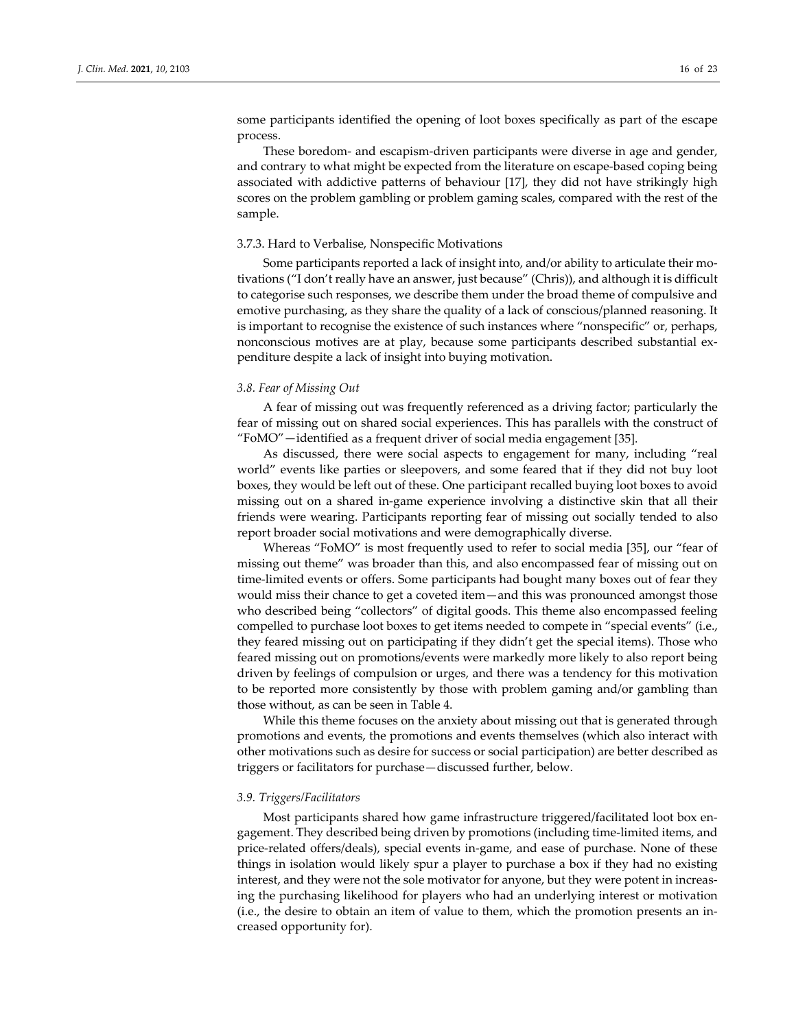some participants identified the opening of loot boxes specifically as part of the escape process.

These boredom- and escapism-driven participants were diverse in age and gender, and contrary to what might be expected from the literature on escape‐based coping being associated with addictive patterns of behaviour [17], they did not have strikingly high scores on the problem gambling or problem gaming scales, compared with the rest of the sample.

#### 3.7.3. Hard to Verbalise, Nonspecific Motivations

Some participants reported a lack of insight into, and/or ability to articulate their mo‐ tivations ("I don't really have an answer, just because" (Chris)), and although it is difficult to categorise such responses, we describe them under the broad theme of compulsive and emotive purchasing, as they share the quality of a lack of conscious/planned reasoning. It is important to recognise the existence of such instances where "nonspecific" or, perhaps, nonconscious motives are at play, because some participants described substantial ex‐ penditure despite a lack of insight into buying motivation.

### *3.8. Fear of Missing Out*

A fear of missing out was frequently referenced as a driving factor; particularly the fear of missing out on shared social experiences. This has parallels with the construct of "FoMO"—identified as a frequent driver of social media engagement [35].

As discussed, there were social aspects to engagement for many, including "real world" events like parties or sleepovers, and some feared that if they did not buy loot boxes, they would be left out of these. One participant recalled buying loot boxes to avoid missing out on a shared in‐game experience involving a distinctive skin that all their friends were wearing. Participants reporting fear of missing out socially tended to also report broader social motivations and were demographically diverse.

Whereas "FoMO" is most frequently used to refer to social media [35], our "fear of missing out theme" was broader than this, and also encompassed fear of missing out on time-limited events or offers. Some participants had bought many boxes out of fear they would miss their chance to get a coveted item—and this was pronounced amongst those who described being "collectors" of digital goods. This theme also encompassed feeling compelled to purchase loot boxes to get items needed to compete in "special events" (i.e., they feared missing out on participating if they didn't get the special items). Those who feared missing out on promotions/events were markedly more likely to also report being driven by feelings of compulsion or urges, and there was a tendency for this motivation to be reported more consistently by those with problem gaming and/or gambling than those without, as can be seen in Table 4.

While this theme focuses on the anxiety about missing out that is generated through promotions and events, the promotions and events themselves (which also interact with other motivations such as desire for success or social participation) are better described as triggers or facilitators for purchase—discussed further, below.

#### *3.9. Triggers/Facilitators*

Most participants shared how game infrastructure triggered/facilitated loot box en‐ gagement. They described being driven by promotions (including time‐limited items, and price-related offers/deals), special events in-game, and ease of purchase. None of these things in isolation would likely spur a player to purchase a box if they had no existing interest, and they were not the sole motivator for anyone, but they were potent in increasing the purchasing likelihood for players who had an underlying interest or motivation (i.e., the desire to obtain an item of value to them, which the promotion presents an in‐ creased opportunity for).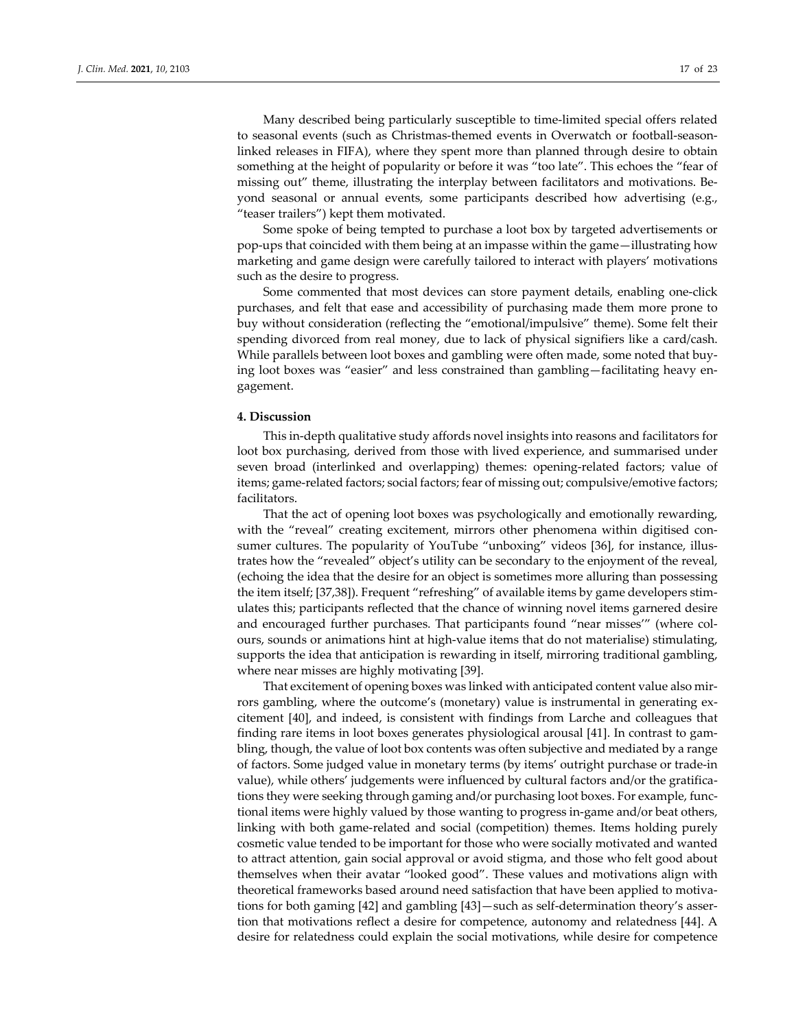Many described being particularly susceptible to time‐limited special offers related to seasonal events (such as Christmas-themed events in Overwatch or football-seasonlinked releases in FIFA), where they spent more than planned through desire to obtain something at the height of popularity or before it was "too late". This echoes the "fear of missing out" theme, illustrating the interplay between facilitators and motivations. Be‐ yond seasonal or annual events, some participants described how advertising (e.g., "teaser trailers") kept them motivated.

Some spoke of being tempted to purchase a loot box by targeted advertisements or pop‐ups that coincided with them being at an impasse within the game—illustrating how marketing and game design were carefully tailored to interact with players' motivations such as the desire to progress.

Some commented that most devices can store payment details, enabling one‐click purchases, and felt that ease and accessibility of purchasing made them more prone to buy without consideration (reflecting the "emotional/impulsive" theme). Some felt their spending divorced from real money, due to lack of physical signifiers like a card/cash. While parallels between loot boxes and gambling were often made, some noted that buy‐ ing loot boxes was "easier" and less constrained than gambling-facilitating heavy engagement.

#### **4. Discussion**

This in‐depth qualitative study affords novel insights into reasons and facilitators for loot box purchasing, derived from those with lived experience, and summarised under seven broad (interlinked and overlapping) themes: opening-related factors; value of items; game-related factors; social factors; fear of missing out; compulsive/emotive factors; facilitators.

That the act of opening loot boxes was psychologically and emotionally rewarding, with the "reveal" creating excitement, mirrors other phenomena within digitised consumer cultures. The popularity of YouTube "unboxing" videos [36], for instance, illustrates how the "revealed" object's utility can be secondary to the enjoyment of the reveal, (echoing the idea that the desire for an object is sometimes more alluring than possessing the item itself; [37,38]). Frequent "refreshing" of available items by game developers stim‐ ulates this; participants reflected that the chance of winning novel items garnered desire and encouraged further purchases. That participants found "near misses"" (where colours, sounds or animations hint at high‐value items that do not materialise) stimulating, supports the idea that anticipation is rewarding in itself, mirroring traditional gambling, where near misses are highly motivating [39].

That excitement of opening boxes was linked with anticipated content value also mir‐ rors gambling, where the outcome's (monetary) value is instrumental in generating excitement [40], and indeed, is consistent with findings from Larche and colleagues that finding rare items in loot boxes generates physiological arousal [41]. In contrast to gam‐ bling, though, the value of loot box contents was often subjective and mediated by a range of factors. Some judged value in monetary terms (by items' outright purchase or trade‐in value), while others' judgements were influenced by cultural factors and/or the gratifica‐ tions they were seeking through gaming and/or purchasing loot boxes. For example, functional items were highly valued by those wanting to progress in‐game and/or beat others, linking with both game‐related and social (competition) themes. Items holding purely cosmetic value tended to be important for those who were socially motivated and wanted to attract attention, gain social approval or avoid stigma, and those who felt good about themselves when their avatar "looked good". These values and motivations align with theoretical frameworks based around need satisfaction that have been applied to motiva‐ tions for both gaming [42] and gambling [43] — such as self-determination theory's assertion that motivations reflect a desire for competence, autonomy and relatedness [44]. A desire for relatedness could explain the social motivations, while desire for competence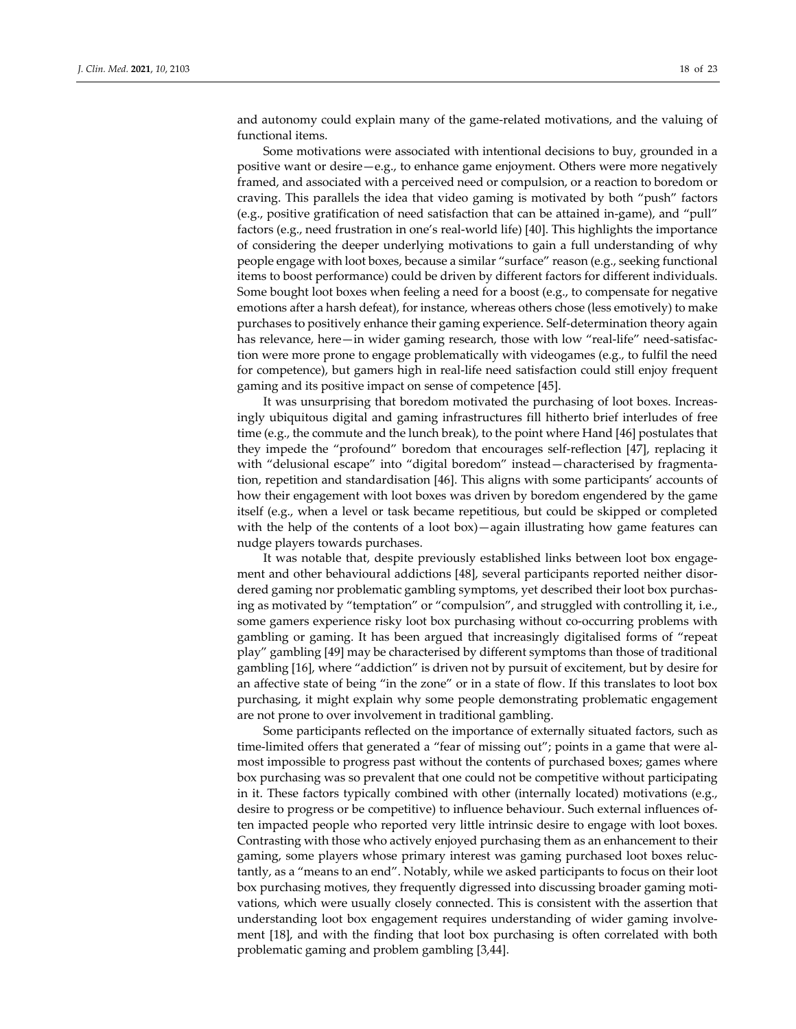and autonomy could explain many of the game‐related motivations, and the valuing of functional items.

Some motivations were associated with intentional decisions to buy, grounded in a positive want or desire—e.g., to enhance game enjoyment. Others were more negatively framed, and associated with a perceived need or compulsion, or a reaction to boredom or craving. This parallels the idea that video gaming is motivated by both "push" factors (e.g., positive gratification of need satisfaction that can be attained in‐game), and "pull" factors (e.g., need frustration in one's real‐world life) [40]. This highlights the importance of considering the deeper underlying motivations to gain a full understanding of why people engage with loot boxes, because a similar "surface" reason (e.g., seeking functional items to boost performance) could be driven by different factors for different individuals. Some bought loot boxes when feeling a need for a boost (e.g., to compensate for negative emotions after a harsh defeat), for instance, whereas others chose (less emotively) to make purchases to positively enhance their gaming experience. Self‐determination theory again has relevance, here—in wider gaming research, those with low "real-life" need-satisfaction were more prone to engage problematically with videogames (e.g., to fulfil the need for competence), but gamers high in real‐life need satisfaction could still enjoy frequent gaming and its positive impact on sense of competence [45].

It was unsurprising that boredom motivated the purchasing of loot boxes. Increas‐ ingly ubiquitous digital and gaming infrastructures fill hitherto brief interludes of free time (e.g., the commute and the lunch break), to the point where Hand [46] postulates that they impede the "profound" boredom that encourages self-reflection [47], replacing it with "delusional escape" into "digital boredom" instead—characterised by fragmentation, repetition and standardisation [46]. This aligns with some participants' accounts of how their engagement with loot boxes was driven by boredom engendered by the game itself (e.g., when a level or task became repetitious, but could be skipped or completed with the help of the contents of a loot box)—again illustrating how game features can nudge players towards purchases.

It was notable that, despite previously established links between loot box engage‐ ment and other behavioural addictions [48], several participants reported neither disordered gaming nor problematic gambling symptoms, yet described their loot box purchas‐ ing as motivated by "temptation" or "compulsion", and struggled with controlling it, i.e., some gamers experience risky loot box purchasing without co-occurring problems with gambling or gaming. It has been argued that increasingly digitalised forms of "repeat play" gambling [49] may be characterised by different symptoms than those of traditional gambling [16], where "addiction" is driven not by pursuit of excitement, but by desire for an affective state of being "in the zone" or in a state of flow. If this translates to loot box purchasing, it might explain why some people demonstrating problematic engagement are not prone to over involvement in traditional gambling.

Some participants reflected on the importance of externally situated factors, such as time-limited offers that generated a "fear of missing out"; points in a game that were almost impossible to progress past without the contents of purchased boxes; games where box purchasing was so prevalent that one could not be competitive without participating in it. These factors typically combined with other (internally located) motivations (e.g., desire to progress or be competitive) to influence behaviour. Such external influences of‐ ten impacted people who reported very little intrinsic desire to engage with loot boxes. Contrasting with those who actively enjoyed purchasing them as an enhancement to their gaming, some players whose primary interest was gaming purchased loot boxes reluc‐ tantly, as a "means to an end". Notably, while we asked participants to focus on their loot box purchasing motives, they frequently digressed into discussing broader gaming moti‐ vations, which were usually closely connected. This is consistent with the assertion that understanding loot box engagement requires understanding of wider gaming involvement [18], and with the finding that loot box purchasing is often correlated with both problematic gaming and problem gambling [3,44].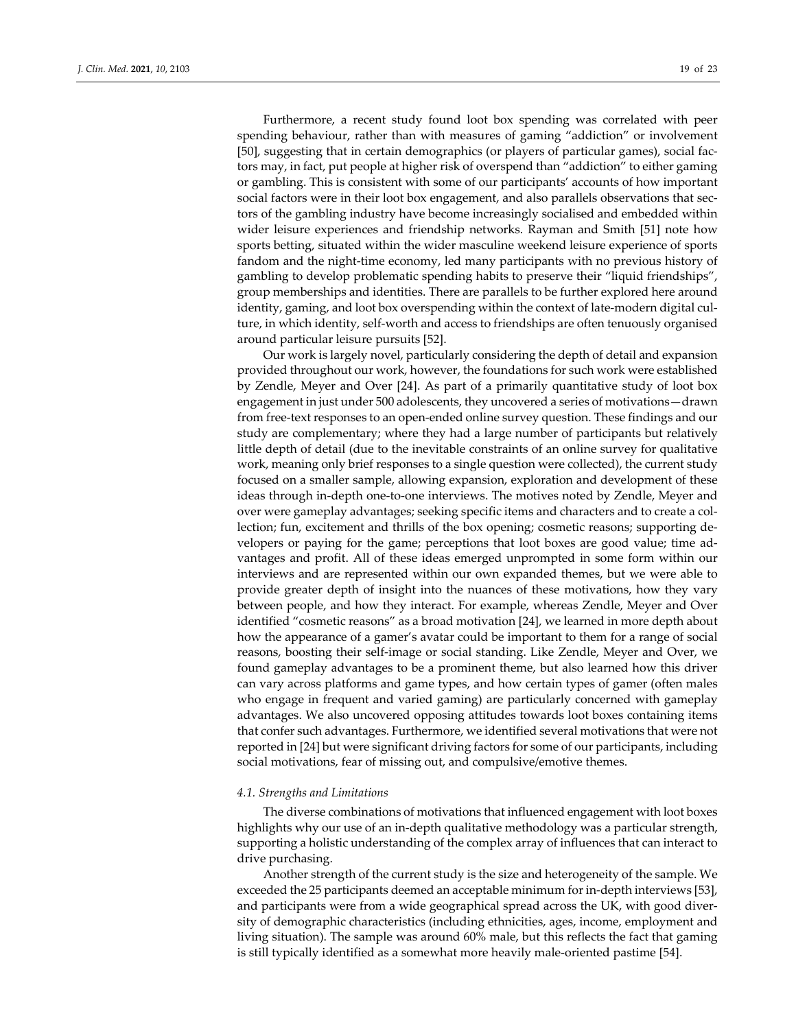Furthermore, a recent study found loot box spending was correlated with peer spending behaviour, rather than with measures of gaming "addiction" or involvement [50], suggesting that in certain demographics (or players of particular games), social fac‐ tors may, in fact, put people at higher risk of overspend than "addiction" to either gaming or gambling. This is consistent with some of our participants' accounts of how important social factors were in their loot box engagement, and also parallels observations that sectors of the gambling industry have become increasingly socialised and embedded within wider leisure experiences and friendship networks. Rayman and Smith [51] note how sports betting, situated within the wider masculine weekend leisure experience of sports fandom and the night-time economy, led many participants with no previous history of gambling to develop problematic spending habits to preserve their "liquid friendships", group memberships and identities. There are parallels to be further explored here around identity, gaming, and loot box overspending within the context of late-modern digital culture, in which identity, self‐worth and access to friendships are often tenuously organised around particular leisure pursuits [52].

Our work is largely novel, particularly considering the depth of detail and expansion provided throughout our work, however, the foundations for such work were established by Zendle, Meyer and Over [24]. As part of a primarily quantitative study of loot box engagement in just under 500 adolescents, they uncovered a series of motivations—drawn from free-text responses to an open-ended online survey question. These findings and our study are complementary; where they had a large number of participants but relatively little depth of detail (due to the inevitable constraints of an online survey for qualitative work, meaning only brief responses to a single question were collected), the current study focused on a smaller sample, allowing expansion, exploration and development of these ideas through in‐depth one‐to‐one interviews. The motives noted by Zendle, Meyer and over were gameplay advantages; seeking specific items and characters and to create a col‐ lection; fun, excitement and thrills of the box opening; cosmetic reasons; supporting de‐ velopers or paying for the game; perceptions that loot boxes are good value; time ad‐ vantages and profit. All of these ideas emerged unprompted in some form within our interviews and are represented within our own expanded themes, but we were able to provide greater depth of insight into the nuances of these motivations, how they vary between people, and how they interact. For example, whereas Zendle, Meyer and Over identified "cosmetic reasons" as a broad motivation [24], we learned in more depth about how the appearance of a gamer's avatar could be important to them for a range of social reasons, boosting their self‐image or social standing. Like Zendle, Meyer and Over, we found gameplay advantages to be a prominent theme, but also learned how this driver can vary across platforms and game types, and how certain types of gamer (often males who engage in frequent and varied gaming) are particularly concerned with gameplay advantages. We also uncovered opposing attitudes towards loot boxes containing items that confer such advantages. Furthermore, we identified several motivations that were not reported in [24] but were significant driving factors for some of our participants, including social motivations, fear of missing out, and compulsive/emotive themes.

#### *4.1. Strengths and Limitations*

The diverse combinations of motivations that influenced engagement with loot boxes highlights why our use of an in‐depth qualitative methodology was a particular strength, supporting a holistic understanding of the complex array of influences that can interact to drive purchasing.

Another strength of the current study is the size and heterogeneity of the sample. We exceeded the 25 participants deemed an acceptable minimum for in-depth interviews [53], and participants were from a wide geographical spread across the UK, with good diver‐ sity of demographic characteristics (including ethnicities, ages, income, employment and living situation). The sample was around 60% male, but this reflects the fact that gaming is still typically identified as a somewhat more heavily male‐oriented pastime [54].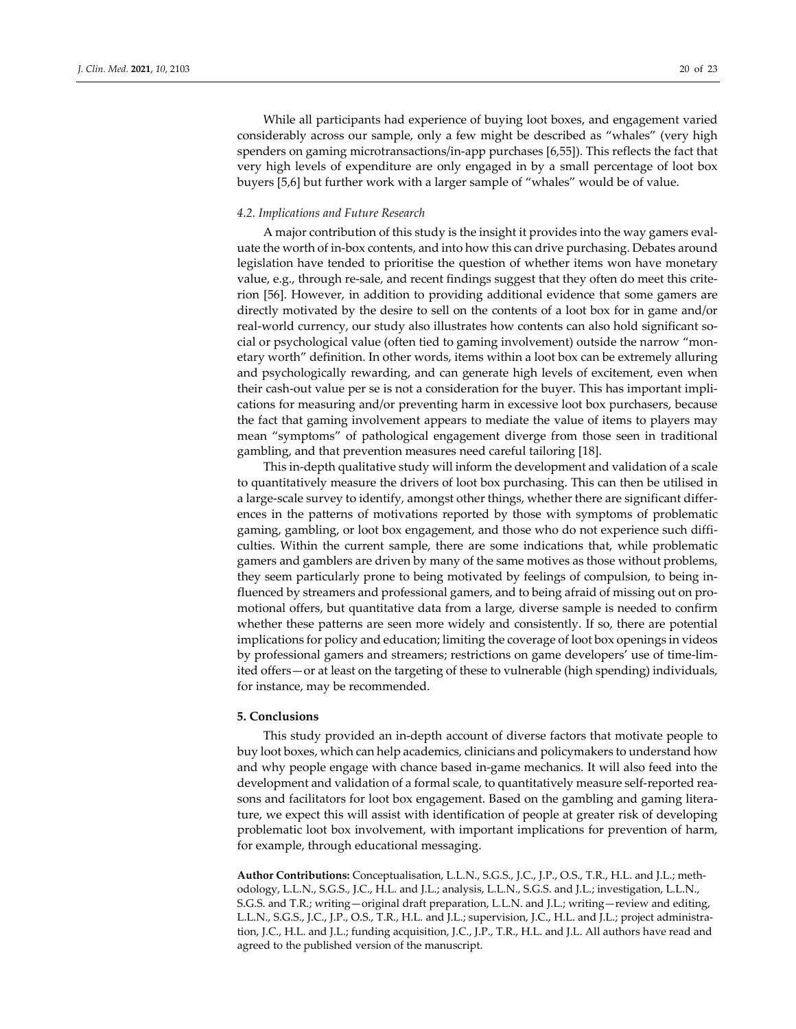While all participants had experience of buying loot boxes, and engagement varied considerably across our sample, only a few might be described as "whales" (very high spenders on gaming microtransactions/in-app purchases [6,55]). This reflects the fact that very high levels of expenditure are only engaged in by a small percentage of loot box buyers [5,6] but further work with a larger sample of "whales" would be of value.

### *4.2. Implications and Future Research*

A major contribution of this study is the insight it provides into the way gamers eval‐ uate the worth of in‐box contents, and into how this can drive purchasing. Debates around legislation have tended to prioritise the question of whether items won have monetary value, e.g., through re-sale, and recent findings suggest that they often do meet this criterion [56]. However, in addition to providing additional evidence that some gamers are directly motivated by the desire to sell on the contents of a loot box for in game and/or real-world currency, our study also illustrates how contents can also hold significant social or psychological value (often tied to gaming involvement) outside the narrow "monetary worth" definition. In other words, items within a loot box can be extremely alluring and psychologically rewarding, and can generate high levels of excitement, even when their cash-out value per se is not a consideration for the buyer. This has important implications for measuring and/or preventing harm in excessive loot box purchasers, because the fact that gaming involvement appears to mediate the value of items to players may mean "symptoms" of pathological engagement diverge from those seen in traditional gambling, and that prevention measures need careful tailoring [18].

This in‐depth qualitative study will inform the development and validation of a scale to quantitatively measure the drivers of loot box purchasing. This can then be utilised in a large‐scale survey to identify, amongst other things, whether there are significant differ‐ ences in the patterns of motivations reported by those with symptoms of problematic gaming, gambling, or loot box engagement, and those who do not experience such diffi‐ culties. Within the current sample, there are some indications that, while problematic gamers and gamblers are driven by many of the same motives as those without problems, they seem particularly prone to being motivated by feelings of compulsion, to being influenced by streamers and professional gamers, and to being afraid of missing out on pro‐ motional offers, but quantitative data from a large, diverse sample is needed to confirm whether these patterns are seen more widely and consistently. If so, there are potential implications for policy and education; limiting the coverage of loot box openings in videos by professional gamers and streamers; restrictions on game developers' use of time‐lim‐ ited offers—or at least on the targeting of these to vulnerable (high spending) individuals, for instance, may be recommended.

#### **5. Conclusions**

This study provided an in‐depth account of diverse factors that motivate people to buy loot boxes, which can help academics, clinicians and policymakers to understand how and why people engage with chance based in‐game mechanics. It will also feed into the development and validation of a formal scale, to quantitatively measure self-reported reasons and facilitators for loot box engagement. Based on the gambling and gaming literature, we expect this will assist with identification of people at greater risk of developing problematic loot box involvement, with important implications for prevention of harm, for example, through educational messaging.

**Author Contributions:** Conceptualisation, L.L.N., S.G.S., J.C., J.P., O.S., T.R., H.L. and J.L.; meth‐ odology, L.L.N., S.G.S., J.C., H.L. and J.L.; analysis, L.L.N., S.G.S. and J.L.; investigation, L.L.N., S.G.S. and T.R.; writing—original draft preparation, L.L.N. and J.L.; writing—review and editing, L.L.N., S.G.S., J.C., J.P., O.S., T.R., H.L. and J.L.; supervision, J.C., H.L. and J.L.; project administra‐ tion, J.C., H.L. and J.L.; funding acquisition, J.C., J.P., T.R., H.L. and J.L. All authors have read and agreed to the published version of the manuscript.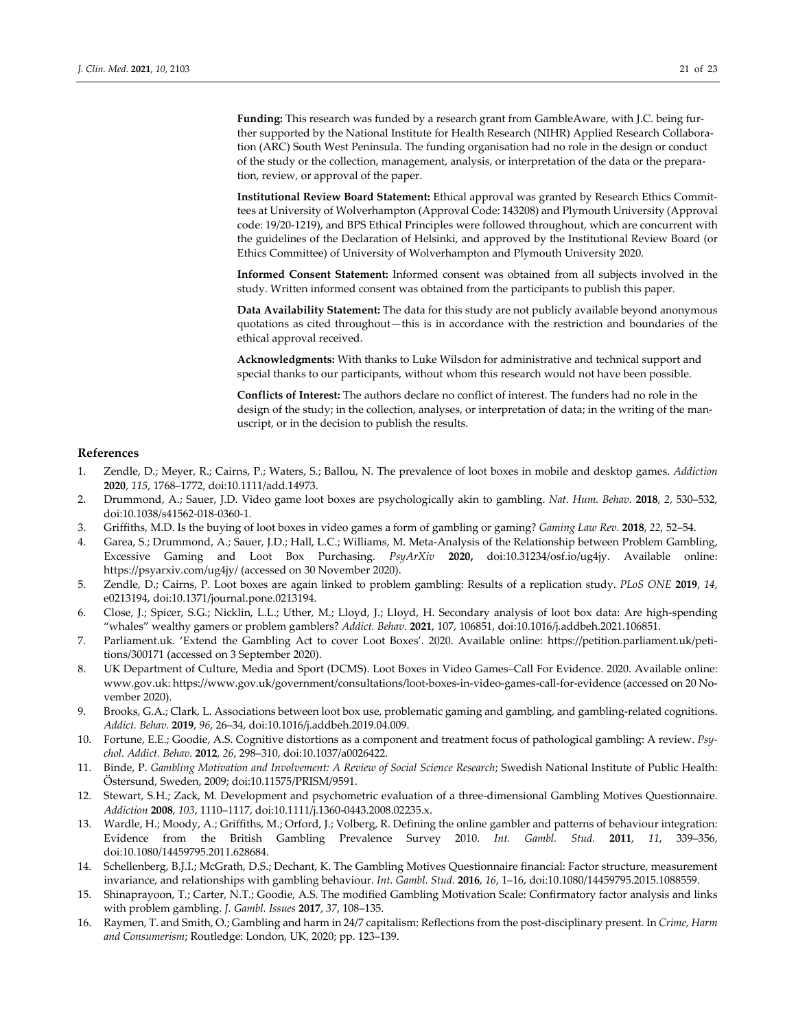**Funding:** This research was funded by a research grant from GambleAware, with J.C. being fur‐ ther supported by the National Institute for Health Research (NIHR) Applied Research Collabora‐ tion (ARC) South West Peninsula. The funding organisation had no role in the design or conduct of the study or the collection, management, analysis, or interpretation of the data or the prepara‐ tion, review, or approval of the paper.

**Institutional Review Board Statement:** Ethical approval was granted by Research Ethics Commit‐ tees at University of Wolverhampton (Approval Code: 143208) and Plymouth University (Approval code: 19/20‐1219), and BPS Ethical Principles were followed throughout, which are concurrent with the guidelines of the Declaration of Helsinki, and approved by the Institutional Review Board (or Ethics Committee) of University of Wolverhampton and Plymouth University 2020.

**Informed Consent Statement:** Informed consent was obtained from all subjects involved in the study. Written informed consent was obtained from the participants to publish this paper.

**Data Availability Statement:** The data for this study are not publicly available beyond anonymous quotations as cited throughout—this is in accordance with the restriction and boundaries of the ethical approval received.

**Acknowledgments:** With thanks to Luke Wilsdon for administrative and technical support and special thanks to our participants, without whom this research would not have been possible.

**Conflicts of Interest:** The authors declare no conflict of interest. The funders had no role in the design of the study; in the collection, analyses, or interpretation of data; in the writing of the manuscript, or in the decision to publish the results.

#### **References**

- 1. Zendle, D.; Meyer, R.; Cairns, P.; Waters, S.; Ballou, N. The prevalence of loot boxes in mobile and desktop games. *Addiction* **2020**, *115*, 1768–1772, doi:10.1111/add.14973.
- 2. Drummond, A.; Sauer, J.D. Video game loot boxes are psychologically akin to gambling. *Nat. Hum. Behav.* **2018**, *2*, 530–532, doi:10.1038/s41562‐018‐0360‐1.
- 3. Griffiths, M.D. Is the buying of loot boxes in video games a form of gambling or gaming? *Gaming Law Rev.* **2018**, *22*, 52–54.
- 4. Garea, S.; Drummond, A.; Sauer, J.D.; Hall, L.C.; Williams, M. Meta‐Analysis of the Relationship between Problem Gambling, Excessive Gaming and Loot Box Purchasing*. PsyArXiv* **2020,** doi:10.31234/osf.io/ug4jy. Available online: https://psyarxiv.com/ug4jy/ (accessed on 30 November 2020).
- 5. Zendle, D.; Cairns, P. Loot boxes are again linked to problem gambling: Results of a replication study. *PLoS ONE* **2019**, *14*, e0213194, doi:10.1371/journal.pone.0213194.
- 6. Close, J.; Spicer, S.G.; Nicklin, L.L.; Uther, M.; Lloyd, J.; Lloyd, H. Secondary analysis of loot box data: Are high‐spending "whales" wealthy gamers or problem gamblers? *Addict. Behav.* **2021**, 107, 106851, doi:10.1016/j.addbeh.2021.106851.
- 7. Parliament.uk. 'Extend the Gambling Act to cover Loot Boxes'. 2020. Available online: https://petition.parliament.uk/petitions/300171 (accessed on 3 September 2020).
- 8. UK Department of Culture, Media and Sport (DCMS). Loot Boxes in Video Games–Call For Evidence. 2020. Available online: www.gov.uk: https://www.gov.uk/government/consultations/loot‐boxes‐in‐video‐games‐call‐for‐evidence (accessed on 20 No‐ vember 2020).
- 9. Brooks, G.A.; Clark, L. Associations between loot box use, problematic gaming and gambling, and gambling-related cognitions. *Addict. Behav.* **2019**, *96*, 26–34, doi:10.1016/j.addbeh.2019.04.009.
- 10. Fortune, E.E.; Goodie, A.S. Cognitive distortions as a component and treatment focus of pathological gambling: A review. *Psy‐ chol. Addict. Behav.* **2012**, *26*, 298–310, doi:10.1037/a0026422.
- 11. Binde, P. *Gambling Motivation and Involvement: A Review of Social Science Research*; Swedish National Institute of Public Health: Östersund, Sweden, 2009; doi:10.11575/PRISM/9591.
- 12. Stewart, S.H.; Zack, M. Development and psychometric evaluation of a three‐dimensional Gambling Motives Questionnaire. *Addiction* **2008**, *103*, 1110–1117, doi:10.1111/j.1360‐0443.2008.02235.x.
- 13. Wardle, H.; Moody, A.; Griffiths, M.; Orford, J.; Volberg, R. Defining the online gambler and patterns of behaviour integration: Evidence from the British Gambling Prevalence Survey 2010. *Int. Gambl. Stud.* **2011**, *11*, 339–356, doi:10.1080/14459795.2011.628684.
- 14. Schellenberg, B.J.I.; McGrath, D.S.; Dechant, K. The Gambling Motives Questionnaire financial: Factor structure, measurement invariance, and relationships with gambling behaviour. *Int. Gambl. Stud.* **2016**, *16*, 1–16, doi:10.1080/14459795.2015.1088559.
- 15. Shinaprayoon, T.; Carter, N.T.; Goodie, A.S. The modified Gambling Motivation Scale: Confirmatory factor analysis and links with problem gambling. *J. Gambl. Issues* **2017**, *37*, 108–135.
- 16. Raymen, T. and Smith, O.; Gambling and harm in 24/7 capitalism: Reflections from the post‐disciplinary present. In *Crime, Harm and Consumerism*; Routledge: London, UK, 2020; pp. 123–139.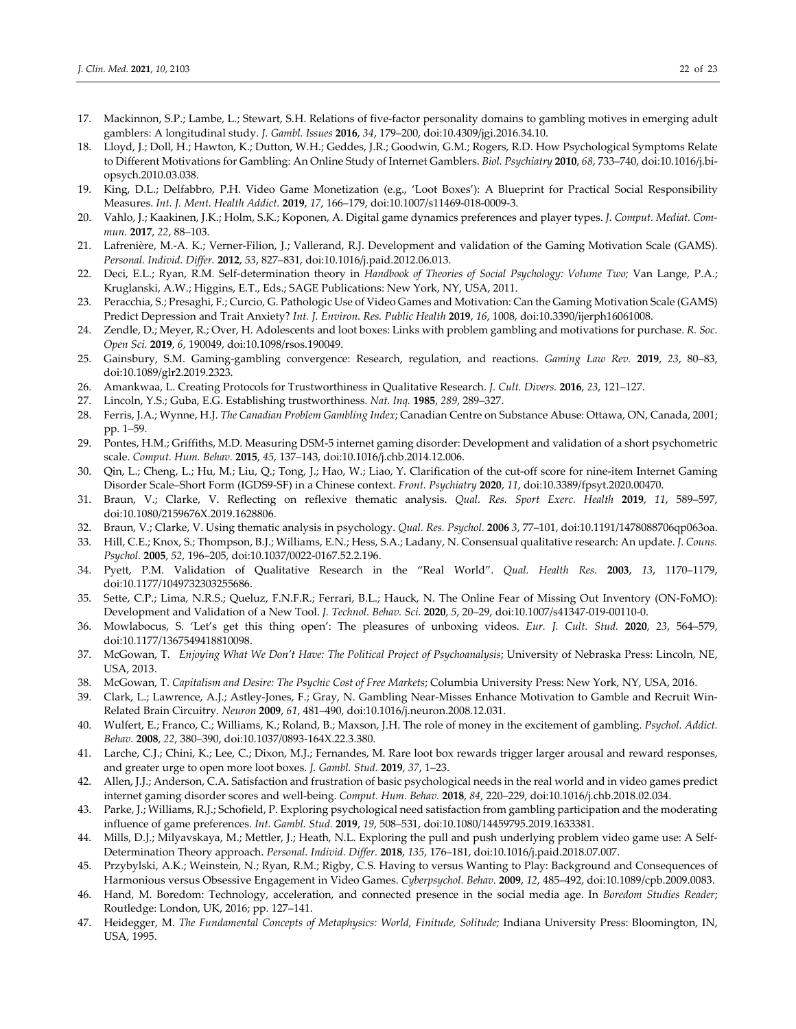- 17. Mackinnon, S.P.; Lambe, L.; Stewart, S.H. Relations of five-factor personality domains to gambling motives in emerging adult gamblers: A longitudinal study. *J. Gambl. Issues* **2016**, *34*, 179–200, doi:10.4309/jgi.2016.34.10.
- 18. Lloyd, J.; Doll, H.; Hawton, K.; Dutton, W.H.; Geddes, J.R.; Goodwin, G.M.; Rogers, R.D. How Psychological Symptoms Relate to Different Motivations for Gambling: An Online Study of Internet Gamblers. *Biol. Psychiatry* **2010**, *68*, 733–740, doi:10.1016/j.bi‐ opsych.2010.03.038.
- 19. King, D.L.; Delfabbro, P.H. Video Game Monetization (e.g., 'Loot Boxes'): A Blueprint for Practical Social Responsibility Measures. *Int. J. Ment. Health Addict.* **2019**, *17*, 166–179, doi:10.1007/s11469‐018‐0009‐3.
- 20. Vahlo, J.; Kaakinen, J.K.; Holm, S.K.; Koponen, A. Digital game dynamics preferences and player types. *J. Comput. Mediat. Commun.* **2017**, *22*, 88–103.
- 21. Lafrenière, M.‐A. K.; Verner‐Filion, J.; Vallerand, R.J. Development and validation of the Gaming Motivation Scale (GAMS). *Personal. Individ. Differ.* **2012**, *53*, 827–831, doi:10.1016/j.paid.2012.06.013.
- 22. Deci, E.L.; Ryan, R.M. Self‐determination theory in *Handbook of Theories of Social Psychology: Volume Two;* Van Lange, P.A.; Kruglanski, A.W.; Higgins, E.T., Eds.; SAGE Publications: New York, NY, USA, 2011.
- 23. Peracchia, S.; Presaghi, F.; Curcio, G. Pathologic Use of Video Games and Motivation: Can the Gaming Motivation Scale (GAMS) Predict Depression and Trait Anxiety? *Int. J. Environ. Res. Public Health* **2019**, *16*, 1008, doi:10.3390/ijerph16061008.
- 24. Zendle, D.; Meyer, R.; Over, H. Adolescents and loot boxes: Links with problem gambling and motivations for purchase. *R. Soc. Open Sci.* **2019**, *6*, 190049, doi:10.1098/rsos.190049.
- 25. Gainsbury, S.M. Gaming‐gambling convergence: Research, regulation, and reactions. *Gaming Law Rev.* **2019**, *23*, 80–83, doi:10.1089/glr2.2019.2323.
- 26. Amankwaa, L. Creating Protocols for Trustworthiness in Qualitative Research. *J. Cult. Divers.* **2016**, *23*, 121–127.
- 27. Lincoln, Y.S.; Guba, E.G. Establishing trustworthiness. *Nat. Inq.* **1985**, *289*, 289–327.
- 28. Ferris, J.A.; Wynne, H.J. *The Canadian Problem Gambling Index*; Canadian Centre on Substance Abuse: Ottawa, ON, Canada, 2001; pp. 1–59.
- 29. Pontes, H.M.; Griffiths, M.D. Measuring DSM‐5 internet gaming disorder: Development and validation of a short psychometric scale. *Comput. Hum. Behav.* **2015**, *45*, 137–143, doi:10.1016/j.chb.2014.12.006.
- 30. Qin, L.; Cheng, L.; Hu, M.; Liu, Q.; Tong, J.; Hao, W.; Liao, Y. Clarification of the cut-off score for nine-item Internet Gaming Disorder Scale–Short Form (IGDS9‐SF) in a Chinese context. *Front. Psychiatry* **2020**, *11*, doi:10.3389/fpsyt.2020.00470.
- 31. Braun, V.; Clarke, V. Reflecting on reflexive thematic analysis. *Qual. Res. Sport Exerc. Health* **2019**, *11*, 589–597, doi:10.1080/2159676X.2019.1628806.
- 32. Braun, V.; Clarke, V. Using thematic analysis in psychology. *Qual. Res. Psychol.* **2006** *3*, 77–101, doi:10.1191/1478088706qp063oa.
- 33. Hill, C.E.; Knox, S.; Thompson, B.J.; Williams, E.N.; Hess, S.A.; Ladany, N. Consensual qualitative research: An update. *J. Couns. Psychol.* **2005**, *52*, 196–205, doi:10.1037/0022‐0167.52.2.196.
- 34. Pyett, P.M. Validation of Qualitative Research in the "Real World". *Qual. Health Res.* **2003**, *13*, 1170–1179, doi:10.1177/1049732303255686.
- 35. Sette, C.P.; Lima, N.R.S.; Queluz, F.N.F.R.; Ferrari, B.L.; Hauck, N. The Online Fear of Missing Out Inventory (ON‐FoMO): Development and Validation of a New Tool. *J. Technol. Behav. Sci.* **2020**, *5*, 20–29, doi:10.1007/s41347‐019‐00110‐0.
- 36. Mowlabocus, S. 'Let's get this thing open': The pleasures of unboxing videos. *Eur. J. Cult. Stud.* **2020**, *23*, 564–579, doi:10.1177/1367549418810098.
- 37. McGowan, T. *Enjoying What We Don't Have: The Political Project of Psychoanalysis*; University of Nebraska Press: Lincoln, NE, USA, 2013.
- 38. McGowan, T. *Capitalism and Desire: The Psychic Cost of Free Markets*; Columbia University Press: New York, NY, USA, 2016.
- 39. Clark, L.; Lawrence, A.J.; Astley-Jones, F.; Gray, N. Gambling Near-Misses Enhance Motivation to Gamble and Recruit Win-Related Brain Circuitry. *Neuron* **2009**, *61*, 481–490, doi:10.1016/j.neuron.2008.12.031.
- 40. Wulfert, E.; Franco, C.; Williams, K.; Roland, B.; Maxson, J.H. The role of money in the excitement of gambling. *Psychol. Addict. Behav.* **2008**, *22*, 380–390, doi:10.1037/0893‐164X.22.3.380.
- 41. Larche, C.J.; Chini, K.; Lee, C.; Dixon, M.J.; Fernandes, M. Rare loot box rewards trigger larger arousal and reward responses, and greater urge to open more loot boxes. *J. Gambl. Stud.* **2019**, *37*, 1–23.
- 42. Allen, J.J.; Anderson, C.A. Satisfaction and frustration of basic psychological needs in the real world and in video games predict internet gaming disorder scores and well‐being. *Comput. Hum. Behav.* **2018**, *84*, 220–229, doi:10.1016/j.chb.2018.02.034.
- 43. Parke, J.; Williams, R.J.; Schofield, P. Exploring psychological need satisfaction from gambling participation and the moderating influence of game preferences. *Int. Gambl. Stud.* **2019**, *19*, 508–531, doi:10.1080/14459795.2019.1633381.
- 44. Mills, D.J.; Milyavskaya, M.; Mettler, J.; Heath, N.L. Exploring the pull and push underlying problem video game use: A Self‐ Determination Theory approach. *Personal. Individ. Differ.* **2018**, *135*, 176–181, doi:10.1016/j.paid.2018.07.007.
- 45. Przybylski, A.K.; Weinstein, N.; Ryan, R.M.; Rigby, C.S. Having to versus Wanting to Play: Background and Consequences of Harmonious versus Obsessive Engagement in Video Games. *Cyberpsychol. Behav.* **2009**, *12*, 485–492, doi:10.1089/cpb.2009.0083.
- 46. Hand, M. Boredom: Technology, acceleration, and connected presence in the social media age. In *Boredom Studies Reader*; Routledge: London, UK, 2016; pp. 127–141.
- 47. Heidegger, M. *The Fundamental Concepts of Metaphysics: World, Finitude, Solitude;* Indiana University Press: Bloomington, IN, USA, 1995.